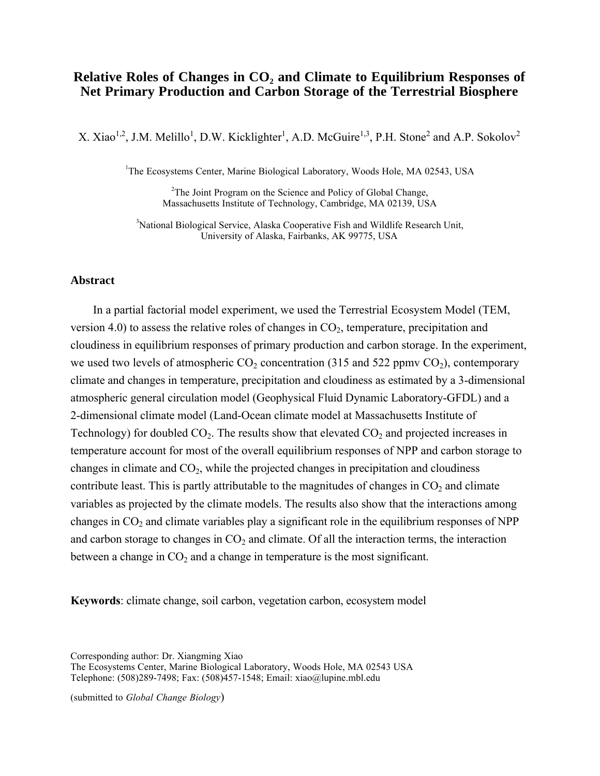# **Relative Roles of Changes in CO<sub>2</sub> and Climate to Equilibrium Responses of Net Primary Production and Carbon Storage of the Terrestrial Biosphere**

X. Xiao<sup>1,2</sup>, J.M. Melillo<sup>1</sup>, D.W. Kicklighter<sup>1</sup>, A.D. McGuire<sup>1,3</sup>, P.H. Stone<sup>2</sup> and A.P. Sokolov<sup>2</sup>

<sup>1</sup>The Ecosystems Center, Marine Biological Laboratory, Woods Hole, MA 02543, USA

<sup>2</sup>The Joint Program on the Science and Policy of Global Change, Massachusetts Institute of Technology, Cambridge, MA 02139, USA

<sup>3</sup>National Biological Service, Alaska Cooperative Fish and Wildlife Research Unit, University of Alaska, Fairbanks, AK 99775, USA

### **Abstract**

In a partial factorial model experiment, we used the Terrestrial Ecosystem Model (TEM, version 4.0) to assess the relative roles of changes in  $CO<sub>2</sub>$ , temperature, precipitation and cloudiness in equilibrium responses of primary production and carbon storage. In the experiment, we used two levels of atmospheric  $CO_2$  concentration (315 and 522 ppmv  $CO_2$ ), contemporary climate and changes in temperature, precipitation and cloudiness as estimated by a 3-dimensional atmospheric general circulation model (Geophysical Fluid Dynamic Laboratory-GFDL) and a 2-dimensional climate model (Land-Ocean climate model at Massachusetts Institute of Technology) for doubled  $CO_2$ . The results show that elevated  $CO_2$  and projected increases in temperature account for most of the overall equilibrium responses of NPP and carbon storage to changes in climate and  $CO<sub>2</sub>$ , while the projected changes in precipitation and cloudiness contribute least. This is partly attributable to the magnitudes of changes in  $CO<sub>2</sub>$  and climate variables as projected by the climate models. The results also show that the interactions among changes in  $CO<sub>2</sub>$  and climate variables play a significant role in the equilibrium responses of NPP and carbon storage to changes in  $CO<sub>2</sub>$  and climate. Of all the interaction terms, the interaction between a change in  $CO<sub>2</sub>$  and a change in temperature is the most significant.

**Keywords**: climate change, soil carbon, vegetation carbon, ecosystem model

Corresponding author: Dr. Xiangming Xiao

The Ecosystems Center, Marine Biological Laboratory, Woods Hole, MA 02543 USA Telephone: (508)289-7498; Fax: (508)457-1548; Email: xiao@lupine.mbl.edu

(submitted to *Global Change Biology*)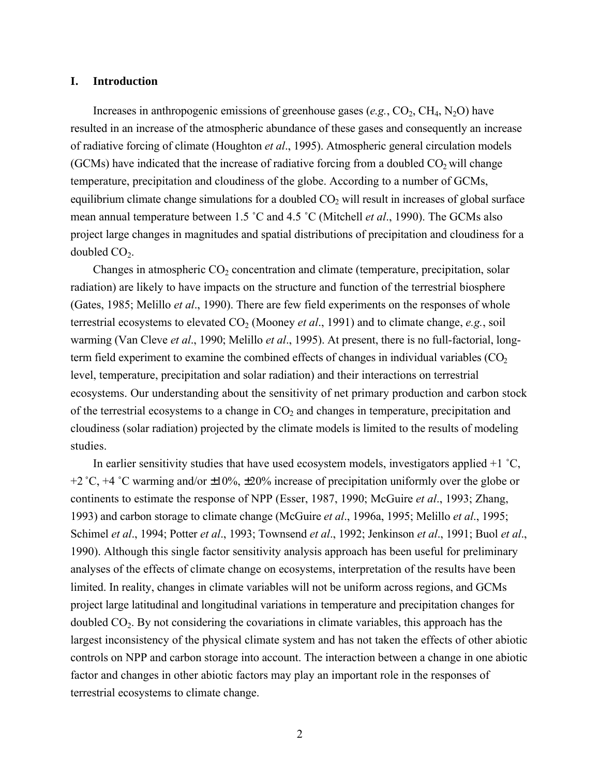### **I. Introduction**

Increases in anthropogenic emissions of greenhouse gases  $(e.g., CO<sub>2</sub>, CH<sub>4</sub>, N<sub>2</sub>O)$  have resulted in an increase of the atmospheric abundance of these gases and consequently an increase of radiative forcing of climate (Houghton *et al*., 1995). Atmospheric general circulation models (GCMs) have indicated that the increase of radiative forcing from a doubled  $CO<sub>2</sub>$  will change temperature, precipitation and cloudiness of the globe. According to a number of GCMs, equilibrium climate change simulations for a doubled  $CO<sub>2</sub>$  will result in increases of global surface mean annual temperature between 1.5 ˚C and 4.5 ˚C (Mitchell *et al*., 1990). The GCMs also project large changes in magnitudes and spatial distributions of precipitation and cloudiness for a doubled  $CO<sub>2</sub>$ .

Changes in atmospheric  $CO<sub>2</sub>$  concentration and climate (temperature, precipitation, solar radiation) are likely to have impacts on the structure and function of the terrestrial biosphere (Gates, 1985; Melillo *et al*., 1990). There are few field experiments on the responses of whole terrestrial ecosystems to elevated  $CO<sub>2</sub>$  (Mooney *et al.*, 1991) and to climate change, *e.g.*, soil warming (Van Cleve *et al*., 1990; Melillo *et al*., 1995). At present, there is no full-factorial, longterm field experiment to examine the combined effects of changes in individual variables  $(CO<sub>2</sub>)$ level, temperature, precipitation and solar radiation) and their interactions on terrestrial ecosystems. Our understanding about the sensitivity of net primary production and carbon stock of the terrestrial ecosystems to a change in  $CO<sub>2</sub>$  and changes in temperature, precipitation and cloudiness (solar radiation) projected by the climate models is limited to the results of modeling studies.

In earlier sensitivity studies that have used ecosystem models, investigators applied  $+1$  °C, +2 °C, +4 °C warming and/or  $\pm 10\%$ ,  $\pm 20\%$  increase of precipitation uniformly over the globe or continents to estimate the response of NPP (Esser, 1987, 1990; McGuire *et al*., 1993; Zhang, 1993) and carbon storage to climate change (McGuire *et al*., 1996a, 1995; Melillo *et al*., 1995; Schimel *et al*., 1994; Potter *et al*., 1993; Townsend *et al*., 1992; Jenkinson *et al*., 1991; Buol *et al*., 1990). Although this single factor sensitivity analysis approach has been useful for preliminary analyses of the effects of climate change on ecosystems, interpretation of the results have been limited. In reality, changes in climate variables will not be uniform across regions, and GCMs project large latitudinal and longitudinal variations in temperature and precipitation changes for doubled  $CO<sub>2</sub>$ . By not considering the covariations in climate variables, this approach has the largest inconsistency of the physical climate system and has not taken the effects of other abiotic controls on NPP and carbon storage into account. The interaction between a change in one abiotic factor and changes in other abiotic factors may play an important role in the responses of terrestrial ecosystems to climate change.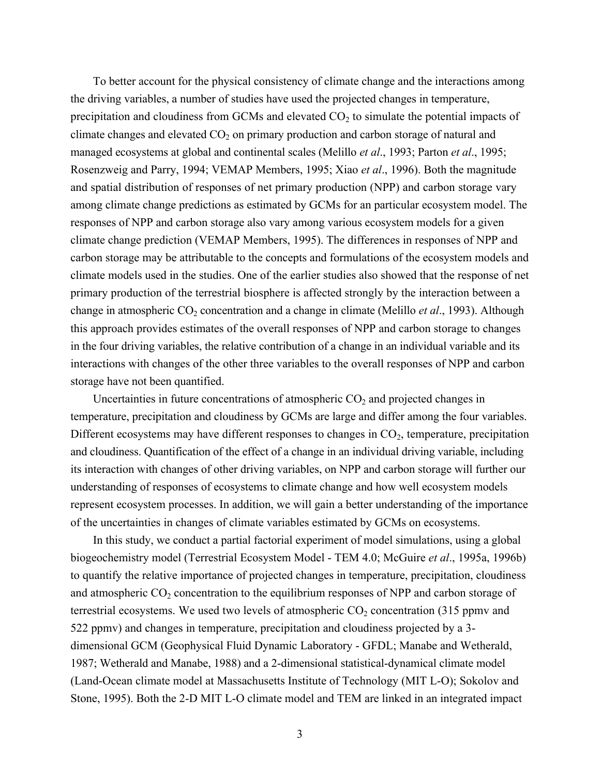To better account for the physical consistency of climate change and the interactions among the driving variables, a number of studies have used the projected changes in temperature, precipitation and cloudiness from GCMs and elevated  $CO<sub>2</sub>$  to simulate the potential impacts of climate changes and elevated  $CO<sub>2</sub>$  on primary production and carbon storage of natural and managed ecosystems at global and continental scales (Melillo *et al*., 1993; Parton *et al*., 1995; Rosenzweig and Parry, 1994; VEMAP Members, 1995; Xiao *et al*., 1996). Both the magnitude and spatial distribution of responses of net primary production (NPP) and carbon storage vary among climate change predictions as estimated by GCMs for an particular ecosystem model. The responses of NPP and carbon storage also vary among various ecosystem models for a given climate change prediction (VEMAP Members, 1995). The differences in responses of NPP and carbon storage may be attributable to the concepts and formulations of the ecosystem models and climate models used in the studies. One of the earlier studies also showed that the response of net primary production of the terrestrial biosphere is affected strongly by the interaction between a change in atmospheric CO<sub>2</sub> concentration and a change in climate (Melillo *et al.*, 1993). Although this approach provides estimates of the overall responses of NPP and carbon storage to changes in the four driving variables, the relative contribution of a change in an individual variable and its interactions with changes of the other three variables to the overall responses of NPP and carbon storage have not been quantified.

Uncertainties in future concentrations of atmospheric  $CO<sub>2</sub>$  and projected changes in temperature, precipitation and cloudiness by GCMs are large and differ among the four variables. Different ecosystems may have different responses to changes in  $CO<sub>2</sub>$ , temperature, precipitation and cloudiness. Quantification of the effect of a change in an individual driving variable, including its interaction with changes of other driving variables, on NPP and carbon storage will further our understanding of responses of ecosystems to climate change and how well ecosystem models represent ecosystem processes. In addition, we will gain a better understanding of the importance of the uncertainties in changes of climate variables estimated by GCMs on ecosystems.

In this study, we conduct a partial factorial experiment of model simulations, using a global biogeochemistry model (Terrestrial Ecosystem Model - TEM 4.0; McGuire *et al*., 1995a, 1996b) to quantify the relative importance of projected changes in temperature, precipitation, cloudiness and atmospheric  $CO_2$  concentration to the equilibrium responses of NPP and carbon storage of terrestrial ecosystems. We used two levels of atmospheric  $CO<sub>2</sub>$  concentration (315 ppmv and 522 ppmv) and changes in temperature, precipitation and cloudiness projected by a 3 dimensional GCM (Geophysical Fluid Dynamic Laboratory - GFDL; Manabe and Wetherald, 1987; Wetherald and Manabe, 1988) and a 2-dimensional statistical-dynamical climate model (Land-Ocean climate model at Massachusetts Institute of Technology (MIT L-O); Sokolov and Stone, 1995). Both the 2-D MIT L-O climate model and TEM are linked in an integrated impact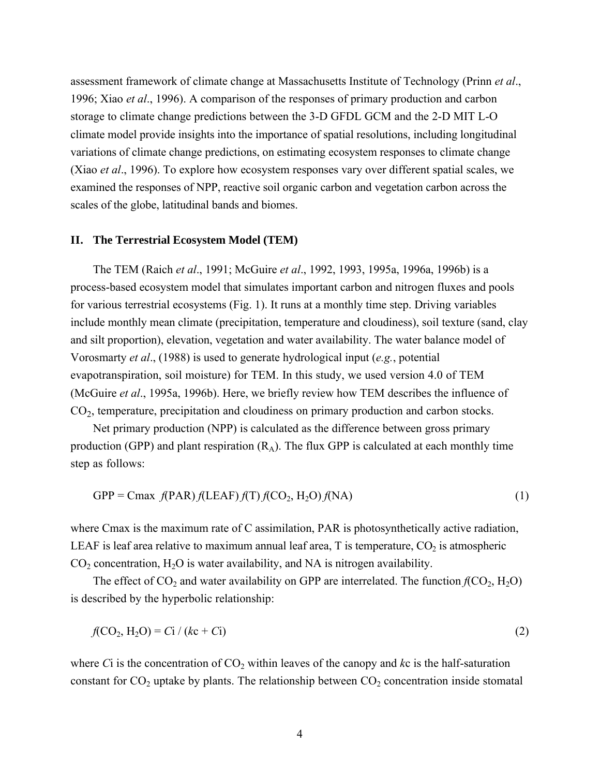assessment framework of climate change at Massachusetts Institute of Technology (Prinn *et al*., 1996; Xiao *et al*., 1996). A comparison of the responses of primary production and carbon storage to climate change predictions between the 3-D GFDL GCM and the 2-D MIT L-O climate model provide insights into the importance of spatial resolutions, including longitudinal variations of climate change predictions, on estimating ecosystem responses to climate change (Xiao *et al*., 1996). To explore how ecosystem responses vary over different spatial scales, we examined the responses of NPP, reactive soil organic carbon and vegetation carbon across the scales of the globe, latitudinal bands and biomes.

## **II. The Terrestrial Ecosystem Model (TEM)**

The TEM (Raich *et al*., 1991; McGuire *et al*., 1992, 1993, 1995a, 1996a, 1996b) is a process-based ecosystem model that simulates important carbon and nitrogen fluxes and pools for various terrestrial ecosystems (Fig. 1). It runs at a monthly time step. Driving variables include monthly mean climate (precipitation, temperature and cloudiness), soil texture (sand, clay and silt proportion), elevation, vegetation and water availability. The water balance model of Vorosmarty *et al*., (1988) is used to generate hydrological input (*e.g.*, potential evapotranspiration, soil moisture) for TEM. In this study, we used version 4.0 of TEM (McGuire *et al*., 1995a, 1996b). Here, we briefly review how TEM describes the influence of  $CO<sub>2</sub>$ , temperature, precipitation and cloudiness on primary production and carbon stocks.

Net primary production (NPP) is calculated as the difference between gross primary production (GPP) and plant respiration  $(R_A)$ . The flux GPP is calculated at each monthly time step as follows:

$$
GPP = Cmax f(PAR)f(LEAF)f(T)f(CO2, H2O)f(NA)
$$
 (1)

where Cmax is the maximum rate of C assimilation, PAR is photosynthetically active radiation, LEAF is leaf area relative to maximum annual leaf area,  $T$  is temperature,  $CO_2$  is atmospheric  $CO<sub>2</sub>$  concentration,  $H<sub>2</sub>O$  is water availability, and NA is nitrogen availability.

The effect of  $CO_2$  and water availability on GPP are interrelated. The function  $f(CO_2, H_2O)$ is described by the hyperbolic relationship:

$$
f(CO_2, H_2O) = Ci / (kc + Ci)
$$
 (2)

where  $Ci$  is the concentration of  $CO<sub>2</sub>$  within leaves of the canopy and  $kc$  is the half-saturation constant for  $CO<sub>2</sub>$  uptake by plants. The relationship between  $CO<sub>2</sub>$  concentration inside stomatal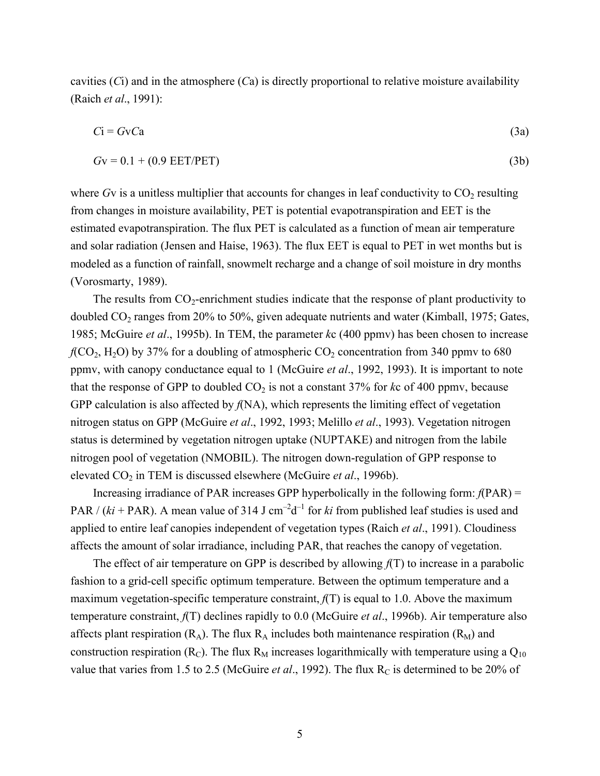cavities (*C*i) and in the atmosphere (*C*a) is directly proportional to relative moisture availability (Raich *et al*., 1991):

$$
Ci = GvCa
$$
 (3a)

$$
Gv = 0.1 + (0.9 \text{ EET/PET}) \tag{3b}
$$

where  $Gv$  is a unitless multiplier that accounts for changes in leaf conductivity to  $CO<sub>2</sub>$  resulting from changes in moisture availability, PET is potential evapotranspiration and EET is the estimated evapotranspiration. The flux PET is calculated as a function of mean air temperature and solar radiation (Jensen and Haise, 1963). The flux EET is equal to PET in wet months but is modeled as a function of rainfall, snowmelt recharge and a change of soil moisture in dry months (Vorosmarty, 1989).

The results from  $CO_2$ -enrichment studies indicate that the response of plant productivity to doubled CO<sub>2</sub> ranges from 20% to 50%, given adequate nutrients and water (Kimball, 1975; Gates, 1985; McGuire *et al*., 1995b). In TEM, the parameter *k*c (400 ppmv) has been chosen to increase  $f(CO<sub>2</sub>, H<sub>2</sub>O)$  by 37% for a doubling of atmospheric  $CO<sub>2</sub>$  concentration from 340 ppmv to 680 ppmv, with canopy conductance equal to 1 (McGuire *et al*., 1992, 1993). It is important to note that the response of GPP to doubled  $CO<sub>2</sub>$  is not a constant 37% for  $k\text{c}$  of 400 ppmv, because GPP calculation is also affected by *f*(NA), which represents the limiting effect of vegetation nitrogen status on GPP (McGuire *et al*., 1992, 1993; Melillo *et al*., 1993). Vegetation nitrogen status is determined by vegetation nitrogen uptake (NUPTAKE) and nitrogen from the labile nitrogen pool of vegetation (NMOBIL). The nitrogen down-regulation of GPP response to elevated CO2 in TEM is discussed elsewhere (McGuire *et al*., 1996b).

Increasing irradiance of PAR increases GPP hyperbolically in the following form: *f*(PAR) = PAR /  $(ki + PAR)$ . A mean value of 314 J cm<sup>-2</sup>d<sup>-1</sup> for *ki* from published leaf studies is used and applied to entire leaf canopies independent of vegetation types (Raich *et al*., 1991). Cloudiness affects the amount of solar irradiance, including PAR, that reaches the canopy of vegetation.

The effect of air temperature on GPP is described by allowing *f*(T) to increase in a parabolic fashion to a grid-cell specific optimum temperature. Between the optimum temperature and a maximum vegetation-specific temperature constraint, *f*(T) is equal to 1.0. Above the maximum temperature constraint, *f*(T) declines rapidly to 0.0 (McGuire *et al*., 1996b). Air temperature also affects plant respiration  $(R_A)$ . The flux  $R_A$  includes both maintenance respiration  $(R_M)$  and construction respiration ( $R<sub>C</sub>$ ). The flux  $R<sub>M</sub>$  increases logarithmically with temperature using a  $Q<sub>10</sub>$ value that varies from 1.5 to 2.5 (McGuire *et al.*, 1992). The flux R<sub>C</sub> is determined to be 20% of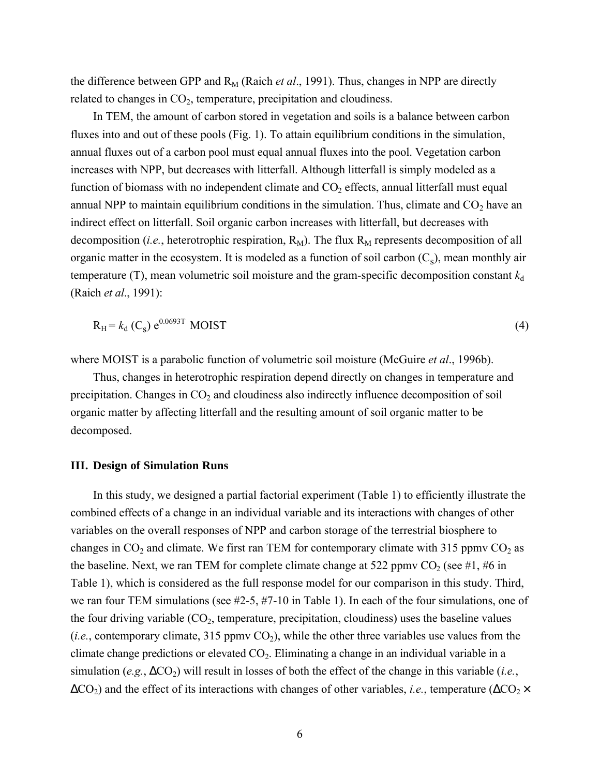the difference between GPP and  $R_M$  (Raich *et al.*, 1991). Thus, changes in NPP are directly related to changes in  $CO<sub>2</sub>$ , temperature, precipitation and cloudiness.

In TEM, the amount of carbon stored in vegetation and soils is a balance between carbon fluxes into and out of these pools (Fig. 1). To attain equilibrium conditions in the simulation, annual fluxes out of a carbon pool must equal annual fluxes into the pool. Vegetation carbon increases with NPP, but decreases with litterfall. Although litterfall is simply modeled as a function of biomass with no independent climate and  $CO<sub>2</sub>$  effects, annual litterfall must equal annual NPP to maintain equilibrium conditions in the simulation. Thus, climate and  $CO<sub>2</sub>$  have an indirect effect on litterfall. Soil organic carbon increases with litterfall, but decreases with decomposition (*i.e.*, heterotrophic respiration,  $R_M$ ). The flux  $R_M$  represents decomposition of all organic matter in the ecosystem. It is modeled as a function of soil carbon  $(C_s)$ , mean monthly air temperature (T), mean volumetric soil moisture and the gram-specific decomposition constant  $k_d$ (Raich *et al*., 1991):

$$
R_{\rm H} = k_{\rm d} \left( C_{\rm s} \right) e^{0.0693 \text{T}} \text{ MOIST} \tag{4}
$$

where MOIST is a parabolic function of volumetric soil moisture (McGuire *et al*., 1996b).

Thus, changes in heterotrophic respiration depend directly on changes in temperature and precipitation. Changes in  $CO<sub>2</sub>$  and cloudiness also indirectly influence decomposition of soil organic matter by affecting litterfall and the resulting amount of soil organic matter to be decomposed.

### **III. Design of Simulation Runs**

In this study, we designed a partial factorial experiment (Table 1) to efficiently illustrate the combined effects of a change in an individual variable and its interactions with changes of other variables on the overall responses of NPP and carbon storage of the terrestrial biosphere to changes in  $CO_2$  and climate. We first ran TEM for contemporary climate with 315 ppmv  $CO_2$  as the baseline. Next, we ran TEM for complete climate change at 522 ppmv  $CO_2$  (see #1, #6 in Table 1), which is considered as the full response model for our comparison in this study. Third, we ran four TEM simulations (see #2-5, #7-10 in Table 1). In each of the four simulations, one of the four driving variable  $(CO_2)$ , temperature, precipitation, cloudiness) uses the baseline values (*i.e.*, contemporary climate, 315 ppmv  $CO<sub>2</sub>$ ), while the other three variables use values from the climate change predictions or elevated  $CO<sub>2</sub>$ . Eliminating a change in an individual variable in a simulation (*e.g.*,  $\Delta CO_2$ ) will result in losses of both the effect of the change in this variable (*i.e.*,  $\Delta CO_2$ ) and the effect of its interactions with changes of other variables, *i.e.*, temperature ( $\Delta CO_2 \times$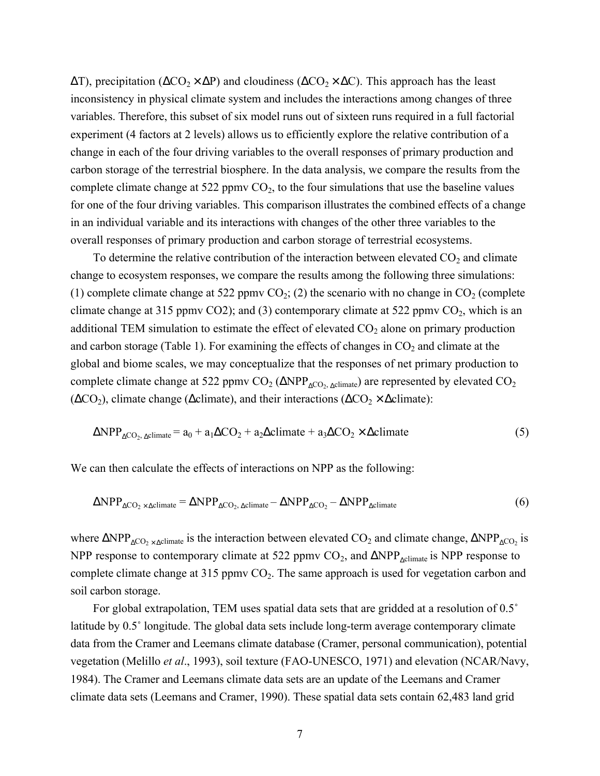$\Delta T$ ), precipitation ( $\Delta CO_2 \times \Delta P$ ) and cloudiness ( $\Delta CO_2 \times \Delta C$ ). This approach has the least inconsistency in physical climate system and includes the interactions among changes of three variables. Therefore, this subset of six model runs out of sixteen runs required in a full factorial experiment (4 factors at 2 levels) allows us to efficiently explore the relative contribution of a change in each of the four driving variables to the overall responses of primary production and carbon storage of the terrestrial biosphere. In the data analysis, we compare the results from the complete climate change at  $522$  ppmv  $CO<sub>2</sub>$ , to the four simulations that use the baseline values for one of the four driving variables. This comparison illustrates the combined effects of a change in an individual variable and its interactions with changes of the other three variables to the overall responses of primary production and carbon storage of terrestrial ecosystems.

To determine the relative contribution of the interaction between elevated  $CO<sub>2</sub>$  and climate change to ecosystem responses, we compare the results among the following three simulations: (1) complete climate change at 522 ppmv  $CO_2$ ; (2) the scenario with no change in  $CO_2$  (complete climate change at 315 ppmv CO2); and (3) contemporary climate at 522 ppmv  $CO<sub>2</sub>$ , which is an additional TEM simulation to estimate the effect of elevated  $CO<sub>2</sub>$  alone on primary production and carbon storage (Table 1). For examining the effects of changes in  $CO<sub>2</sub>$  and climate at the global and biome scales, we may conceptualize that the responses of net primary production to complete climate change at 522 ppmv  $CO_2$  ( $\triangle NPP_{\triangle CO}$ ,  $\triangle climate$ ) are represented by elevated  $CO_2$  $(\Delta CO_2)$ , climate change ( $\Delta$ climate), and their interactions ( $\Delta CO_2 \times \Delta$ climate):

$$
\Delta NPP_{\Delta CO_2, \Delta climate} = a_0 + a_1 \Delta CO_2 + a_2 \Delta climate + a_3 \Delta CO_2 \times \Delta climate
$$
 (5)

We can then calculate the effects of interactions on NPP as the following:

$$
\Delta NPP_{\Delta CO_2 \times \Delta climate} = \Delta NPP_{\Delta CO_2, \Delta climate} - \Delta NPP_{\Delta CO_2} - \Delta NPP_{\Delta climate}
$$
\n(6)

where  $\Delta NPP_{\Delta CO_2 \times \Delta climate}$  is the interaction between elevated CO<sub>2</sub> and climate change,  $\Delta NPP_{\Delta CO_2}$  is NPP response to contemporary climate at 522 ppmv  $CO_2$ , and  $\triangle NPP_{\text{volume}}$  is NPP response to complete climate change at  $315$  ppmv  $CO<sub>2</sub>$ . The same approach is used for vegetation carbon and soil carbon storage.

For global extrapolation, TEM uses spatial data sets that are gridded at a resolution of 0.5˚ latitude by 0.5˚ longitude. The global data sets include long-term average contemporary climate data from the Cramer and Leemans climate database (Cramer, personal communication), potential vegetation (Melillo *et al*., 1993), soil texture (FAO-UNESCO, 1971) and elevation (NCAR/Navy, 1984). The Cramer and Leemans climate data sets are an update of the Leemans and Cramer climate data sets (Leemans and Cramer, 1990). These spatial data sets contain 62,483 land grid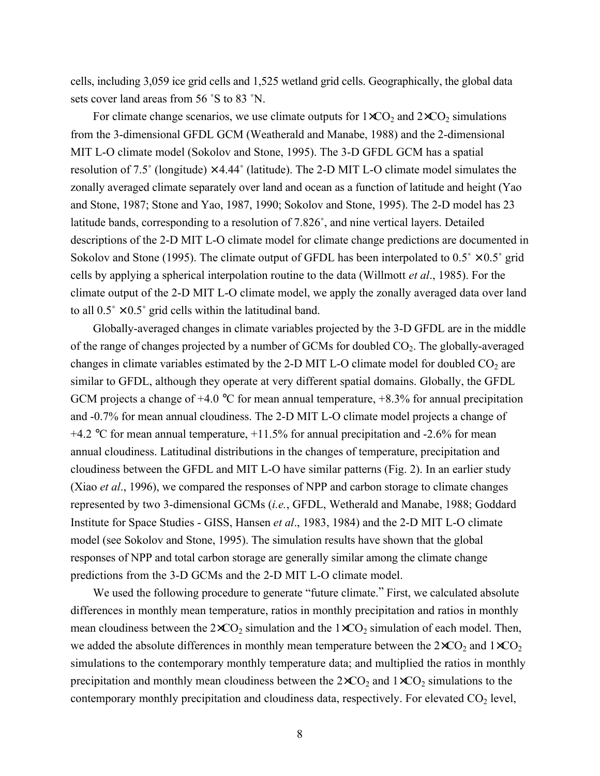cells, including 3,059 ice grid cells and 1,525 wetland grid cells. Geographically, the global data sets cover land areas from 56 ˚S to 83 ˚N.

For climate change scenarios, we use climate outputs for  $1 \times CO_2$  and  $2 \times CO_2$  simulations from the 3-dimensional GFDL GCM (Weatherald and Manabe, 1988) and the 2-dimensional MIT L-O climate model (Sokolov and Stone, 1995). The 3-D GFDL GCM has a spatial resolution of 7.5° (longitude)  $\times$  4.44° (latitude). The 2-D MIT L-O climate model simulates the zonally averaged climate separately over land and ocean as a function of latitude and height (Yao and Stone, 1987; Stone and Yao, 1987, 1990; Sokolov and Stone, 1995). The 2-D model has 23 latitude bands, corresponding to a resolution of 7.826˚, and nine vertical layers. Detailed descriptions of the 2-D MIT L-O climate model for climate change predictions are documented in Sokolov and Stone (1995). The climate output of GFDL has been interpolated to  $0.5^\circ \times 0.5^\circ$  grid cells by applying a spherical interpolation routine to the data (Willmott *et al*., 1985). For the climate output of the 2-D MIT L-O climate model, we apply the zonally averaged data over land to all  $0.5^{\circ} \times 0.5^{\circ}$  grid cells within the latitudinal band.

Globally-averaged changes in climate variables projected by the 3-D GFDL are in the middle of the range of changes projected by a number of GCMs for doubled  $CO<sub>2</sub>$ . The globally-averaged changes in climate variables estimated by the 2-D MIT L-O climate model for doubled  $CO<sub>2</sub>$  are similar to GFDL, although they operate at very different spatial domains. Globally, the GFDL GCM projects a change of  $+4.0$  °C for mean annual temperature,  $+8.3\%$  for annual precipitation and -0.7% for mean annual cloudiness. The 2-D MIT L-O climate model projects a change of +4.2  $\degree$ C for mean annual temperature, +11.5% for annual precipitation and -2.6% for mean annual cloudiness. Latitudinal distributions in the changes of temperature, precipitation and cloudiness between the GFDL and MIT L-O have similar patterns (Fig. 2). In an earlier study (Xiao *et al*., 1996), we compared the responses of NPP and carbon storage to climate changes represented by two 3-dimensional GCMs (*i.e.*, GFDL, Wetherald and Manabe, 1988; Goddard Institute for Space Studies - GISS, Hansen *et al*., 1983, 1984) and the 2-D MIT L-O climate model (see Sokolov and Stone, 1995). The simulation results have shown that the global responses of NPP and total carbon storage are generally similar among the climate change predictions from the 3-D GCMs and the 2-D MIT L-O climate model.

We used the following procedure to generate "future climate." First, we calculated absolute differences in monthly mean temperature, ratios in monthly precipitation and ratios in monthly mean cloudiness between the  $2 \times CO_2$  simulation and the  $1 \times CO_2$  simulation of each model. Then, we added the absolute differences in monthly mean temperature between the  $2\times CO_2$  and  $1\times CO_2$ simulations to the contemporary monthly temperature data; and multiplied the ratios in monthly precipitation and monthly mean cloudiness between the  $2 \times CO_2$  and  $1 \times CO_2$  simulations to the contemporary monthly precipitation and cloudiness data, respectively. For elevated  $CO<sub>2</sub>$  level,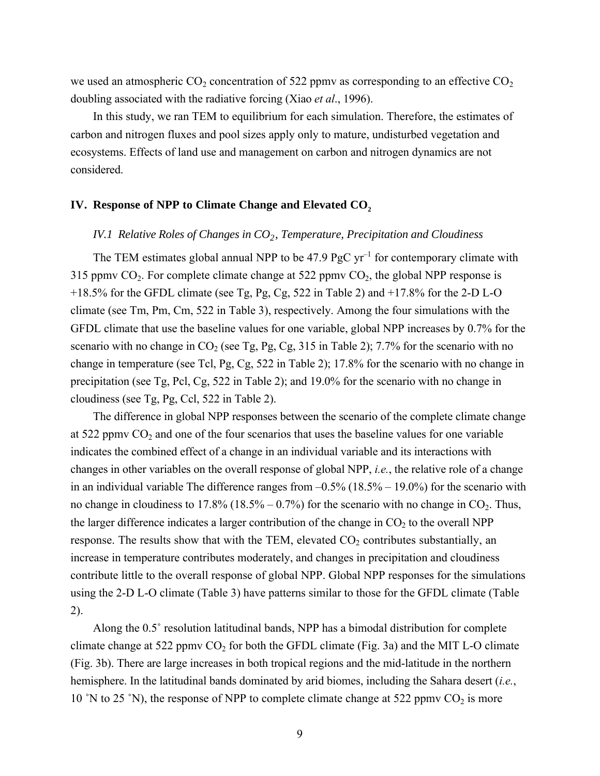we used an atmospheric  $CO_2$  concentration of 522 ppmv as corresponding to an effective  $CO_2$ doubling associated with the radiative forcing (Xiao *et al*., 1996).

In this study, we ran TEM to equilibrium for each simulation. Therefore, the estimates of carbon and nitrogen fluxes and pool sizes apply only to mature, undisturbed vegetation and ecosystems. Effects of land use and management on carbon and nitrogen dynamics are not considered.

### **IV. Response of NPP to Climate Change and Elevated CO<sub>2</sub>**

# *IV.1 Relative Roles of Changes in CO<sub>2</sub>, Temperature, Precipitation and Cloudiness*

The TEM estimates global annual NPP to be  $47.9$  PgC yr<sup>-1</sup> for contemporary climate with 315 ppmv  $CO_2$ . For complete climate change at 522 ppmv  $CO_2$ , the global NPP response is +18.5% for the GFDL climate (see Tg, Pg, Cg, 522 in Table 2) and +17.8% for the 2-D L-O climate (see Tm, Pm, Cm, 522 in Table 3), respectively. Among the four simulations with the GFDL climate that use the baseline values for one variable, global NPP increases by 0.7% for the scenario with no change in  $CO_2$  (see Tg, Pg, Cg, 315 in Table 2); 7.7% for the scenario with no change in temperature (see Tcl, Pg, Cg, 522 in Table 2); 17.8% for the scenario with no change in precipitation (see Tg, Pcl, Cg, 522 in Table 2); and 19.0% for the scenario with no change in cloudiness (see Tg, Pg, Ccl, 522 in Table 2).

The difference in global NPP responses between the scenario of the complete climate change at 522 ppmv  $CO<sub>2</sub>$  and one of the four scenarios that uses the baseline values for one variable indicates the combined effect of a change in an individual variable and its interactions with changes in other variables on the overall response of global NPP, *i.e.*, the relative role of a change in an individual variable The difference ranges from  $-0.5\%$  (18.5% – 19.0%) for the scenario with no change in cloudiness to  $17.8\%$  ( $18.5\%$  –  $0.7\%$ ) for the scenario with no change in CO<sub>2</sub>. Thus, the larger difference indicates a larger contribution of the change in  $CO<sub>2</sub>$  to the overall NPP response. The results show that with the TEM, elevated  $CO<sub>2</sub>$  contributes substantially, an increase in temperature contributes moderately, and changes in precipitation and cloudiness contribute little to the overall response of global NPP. Global NPP responses for the simulations using the 2-D L-O climate (Table 3) have patterns similar to those for the GFDL climate (Table 2).

Along the 0.5˚ resolution latitudinal bands, NPP has a bimodal distribution for complete climate change at 522 ppmv  $CO_2$  for both the GFDL climate (Fig. 3a) and the MIT L-O climate (Fig. 3b). There are large increases in both tropical regions and the mid-latitude in the northern hemisphere. In the latitudinal bands dominated by arid biomes, including the Sahara desert (*i.e.*, 10 °N to 25 °N), the response of NPP to complete climate change at 522 ppmv  $CO<sub>2</sub>$  is more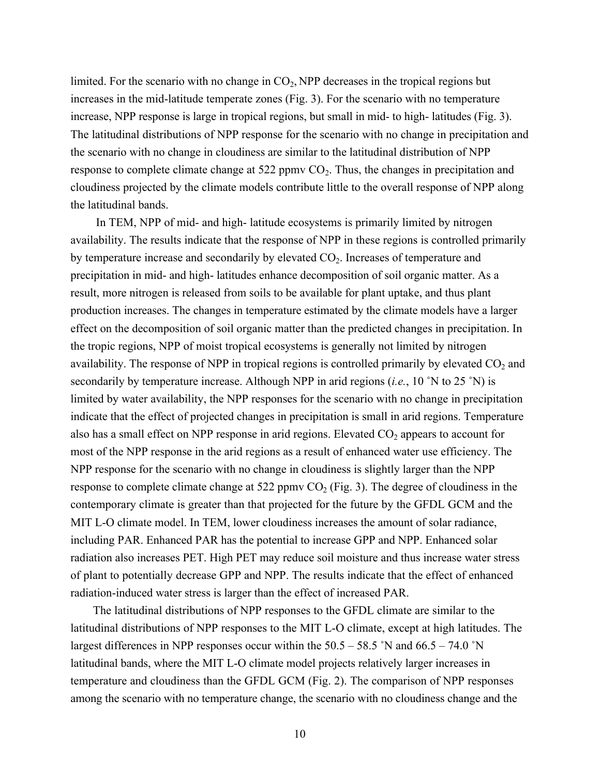limited. For the scenario with no change in  $CO<sub>2</sub>$ , NPP decreases in the tropical regions but increases in the mid-latitude temperate zones (Fig. 3). For the scenario with no temperature increase, NPP response is large in tropical regions, but small in mid- to high- latitudes (Fig. 3). The latitudinal distributions of NPP response for the scenario with no change in precipitation and the scenario with no change in cloudiness are similar to the latitudinal distribution of NPP response to complete climate change at  $522$  ppmv  $CO<sub>2</sub>$ . Thus, the changes in precipitation and cloudiness projected by the climate models contribute little to the overall response of NPP along the latitudinal bands.

 In TEM, NPP of mid- and high- latitude ecosystems is primarily limited by nitrogen availability. The results indicate that the response of NPP in these regions is controlled primarily by temperature increase and secondarily by elevated  $CO<sub>2</sub>$ . Increases of temperature and precipitation in mid- and high- latitudes enhance decomposition of soil organic matter. As a result, more nitrogen is released from soils to be available for plant uptake, and thus plant production increases. The changes in temperature estimated by the climate models have a larger effect on the decomposition of soil organic matter than the predicted changes in precipitation. In the tropic regions, NPP of moist tropical ecosystems is generally not limited by nitrogen availability. The response of NPP in tropical regions is controlled primarily by elevated  $CO<sub>2</sub>$  and secondarily by temperature increase. Although NPP in arid regions (*i.e.*, 10 ˚N to 25 ˚N) is limited by water availability, the NPP responses for the scenario with no change in precipitation indicate that the effect of projected changes in precipitation is small in arid regions. Temperature also has a small effect on NPP response in arid regions. Elevated  $CO<sub>2</sub>$  appears to account for most of the NPP response in the arid regions as a result of enhanced water use efficiency. The NPP response for the scenario with no change in cloudiness is slightly larger than the NPP response to complete climate change at  $522$  ppmv  $CO<sub>2</sub>$  (Fig. 3). The degree of cloudiness in the contemporary climate is greater than that projected for the future by the GFDL GCM and the MIT L-O climate model. In TEM, lower cloudiness increases the amount of solar radiance, including PAR. Enhanced PAR has the potential to increase GPP and NPP. Enhanced solar radiation also increases PET. High PET may reduce soil moisture and thus increase water stress of plant to potentially decrease GPP and NPP. The results indicate that the effect of enhanced radiation-induced water stress is larger than the effect of increased PAR.

The latitudinal distributions of NPP responses to the GFDL climate are similar to the latitudinal distributions of NPP responses to the MIT L-O climate, except at high latitudes. The largest differences in NPP responses occur within the  $50.5 - 58.5$  °N and  $66.5 - 74.0$  °N latitudinal bands, where the MIT L-O climate model projects relatively larger increases in temperature and cloudiness than the GFDL GCM (Fig. 2). The comparison of NPP responses among the scenario with no temperature change, the scenario with no cloudiness change and the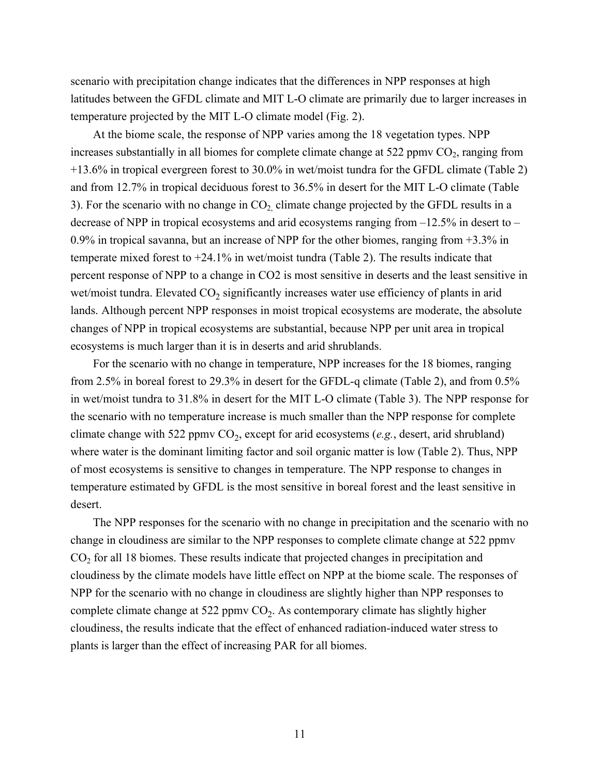scenario with precipitation change indicates that the differences in NPP responses at high latitudes between the GFDL climate and MIT L-O climate are primarily due to larger increases in temperature projected by the MIT L-O climate model (Fig. 2).

At the biome scale, the response of NPP varies among the 18 vegetation types. NPP increases substantially in all biomes for complete climate change at  $522$  ppmv  $CO<sub>2</sub>$ , ranging from +13.6% in tropical evergreen forest to 30.0% in wet/moist tundra for the GFDL climate (Table 2) and from 12.7% in tropical deciduous forest to 36.5% in desert for the MIT L-O climate (Table 3). For the scenario with no change in  $CO<sub>2</sub>$  climate change projected by the GFDL results in a decrease of NPP in tropical ecosystems and arid ecosystems ranging from –12.5% in desert to – 0.9% in tropical savanna, but an increase of NPP for the other biomes, ranging from +3.3% in temperate mixed forest to +24.1% in wet/moist tundra (Table 2). The results indicate that percent response of NPP to a change in CO2 is most sensitive in deserts and the least sensitive in wet/moist tundra. Elevated  $CO<sub>2</sub>$  significantly increases water use efficiency of plants in arid lands. Although percent NPP responses in moist tropical ecosystems are moderate, the absolute changes of NPP in tropical ecosystems are substantial, because NPP per unit area in tropical ecosystems is much larger than it is in deserts and arid shrublands.

For the scenario with no change in temperature, NPP increases for the 18 biomes, ranging from 2.5% in boreal forest to 29.3% in desert for the GFDL-q climate (Table 2), and from 0.5% in wet/moist tundra to 31.8% in desert for the MIT L-O climate (Table 3). The NPP response for the scenario with no temperature increase is much smaller than the NPP response for complete climate change with 522 ppmv  $CO<sub>2</sub>$ , except for arid ecosystems (*e.g.*, desert, arid shrubland) where water is the dominant limiting factor and soil organic matter is low (Table 2). Thus, NPP of most ecosystems is sensitive to changes in temperature. The NPP response to changes in temperature estimated by GFDL is the most sensitive in boreal forest and the least sensitive in desert.

The NPP responses for the scenario with no change in precipitation and the scenario with no change in cloudiness are similar to the NPP responses to complete climate change at 522 ppmv CO<sub>2</sub> for all 18 biomes. These results indicate that projected changes in precipitation and cloudiness by the climate models have little effect on NPP at the biome scale. The responses of NPP for the scenario with no change in cloudiness are slightly higher than NPP responses to complete climate change at 522 ppmv  $CO<sub>2</sub>$ . As contemporary climate has slightly higher cloudiness, the results indicate that the effect of enhanced radiation-induced water stress to plants is larger than the effect of increasing PAR for all biomes.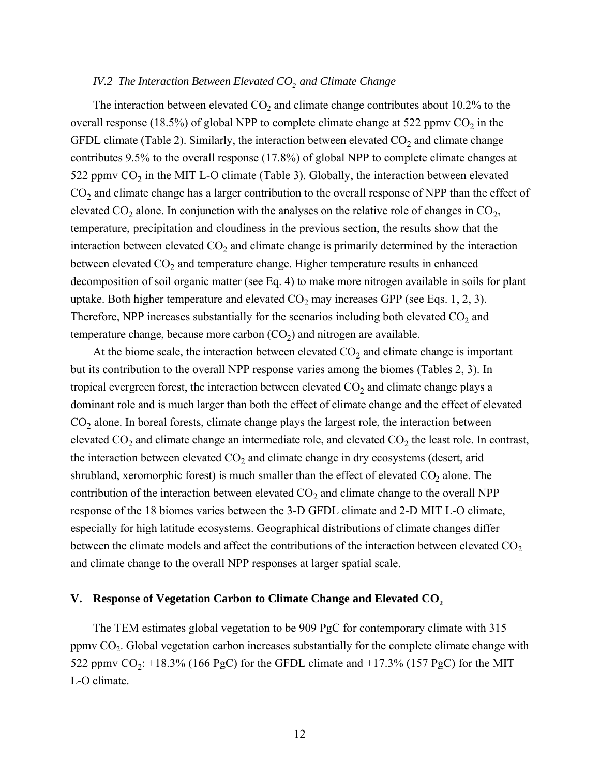### *IV.2 The Interaction Between Elevated CO<sub>2</sub> and Climate Change*

The interaction between elevated  $CO<sub>2</sub>$  and climate change contributes about 10.2% to the overall response (18.5%) of global NPP to complete climate change at 522 ppmv  $CO_2$  in the GFDL climate (Table 2). Similarly, the interaction between elevated  $CO<sub>2</sub>$  and climate change contributes 9.5% to the overall response (17.8%) of global NPP to complete climate changes at 522 ppmv  $CO<sub>2</sub>$  in the MIT L-O climate (Table 3). Globally, the interaction between elevated  $CO<sub>2</sub>$  and climate change has a larger contribution to the overall response of NPP than the effect of elevated  $CO_2$  alone. In conjunction with the analyses on the relative role of changes in  $CO_2$ , temperature, precipitation and cloudiness in the previous section, the results show that the interaction between elevated  $CO<sub>2</sub>$  and climate change is primarily determined by the interaction between elevated  $CO<sub>2</sub>$  and temperature change. Higher temperature results in enhanced decomposition of soil organic matter (see Eq. 4) to make more nitrogen available in soils for plant uptake. Both higher temperature and elevated  $CO_2$  may increases GPP (see Eqs. 1, 2, 3). Therefore, NPP increases substantially for the scenarios including both elevated  $CO<sub>2</sub>$  and temperature change, because more carbon  $(CO<sub>2</sub>)$  and nitrogen are available.

At the biome scale, the interaction between elevated  $CO<sub>2</sub>$  and climate change is important but its contribution to the overall NPP response varies among the biomes (Tables 2, 3). In tropical evergreen forest, the interaction between elevated  $CO<sub>2</sub>$  and climate change plays a dominant role and is much larger than both the effect of climate change and the effect of elevated  $CO<sub>2</sub>$  alone. In boreal forests, climate change plays the largest role, the interaction between elevated  $CO_2$  and climate change an intermediate role, and elevated  $CO_2$  the least role. In contrast, the interaction between elevated  $CO<sub>2</sub>$  and climate change in dry ecosystems (desert, arid shrubland, xeromorphic forest) is much smaller than the effect of elevated  $CO<sub>2</sub>$  alone. The contribution of the interaction between elevated  $CO<sub>2</sub>$  and climate change to the overall NPP response of the 18 biomes varies between the 3-D GFDL climate and 2-D MIT L-O climate, especially for high latitude ecosystems. Geographical distributions of climate changes differ between the climate models and affect the contributions of the interaction between elevated  $CO<sub>2</sub>$ and climate change to the overall NPP responses at larger spatial scale.

### V. Response of Vegetation Carbon to Climate Change and Elevated CO<sub>2</sub>

The TEM estimates global vegetation to be 909 PgC for contemporary climate with 315 ppmv CO2. Global vegetation carbon increases substantially for the complete climate change with 522 ppmv  $CO_2$ : +18.3% (166 PgC) for the GFDL climate and +17.3% (157 PgC) for the MIT L-O climate.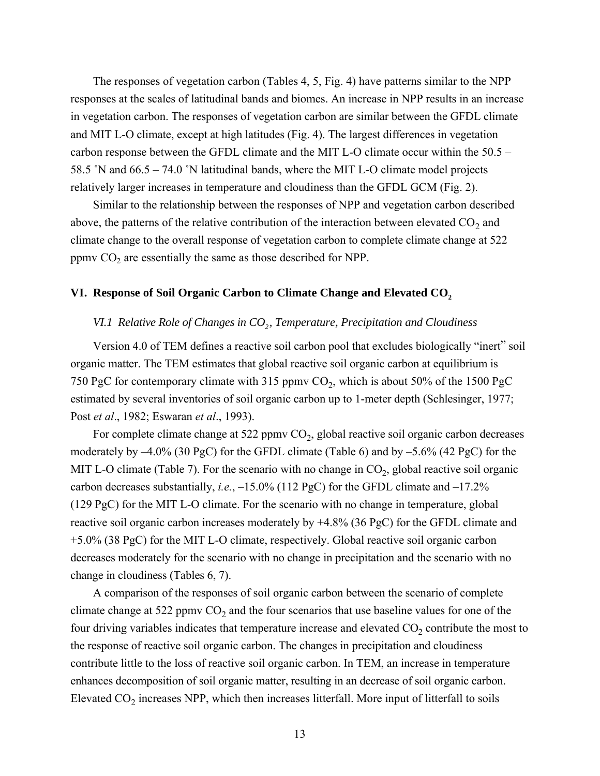The responses of vegetation carbon (Tables 4, 5, Fig. 4) have patterns similar to the NPP responses at the scales of latitudinal bands and biomes. An increase in NPP results in an increase in vegetation carbon. The responses of vegetation carbon are similar between the GFDL climate and MIT L-O climate, except at high latitudes (Fig. 4). The largest differences in vegetation carbon response between the GFDL climate and the MIT L-O climate occur within the 50.5 – 58.5 ˚N and 66.5 – 74.0 ˚N latitudinal bands, where the MIT L-O climate model projects relatively larger increases in temperature and cloudiness than the GFDL GCM (Fig. 2).

Similar to the relationship between the responses of NPP and vegetation carbon described above, the patterns of the relative contribution of the interaction between elevated  $CO_2$  and climate change to the overall response of vegetation carbon to complete climate change at 522 ppmv  $CO<sub>2</sub>$  are essentially the same as those described for NPP.

# VI. Response of Soil Organic Carbon to Climate Change and Elevated CO<sub>2</sub>

## *VI.1 Relative Role of Changes in CO<sub>2</sub>, Temperature, Precipitation and Cloudiness*

Version 4.0 of TEM defines a reactive soil carbon pool that excludes biologically "inert" soil organic matter. The TEM estimates that global reactive soil organic carbon at equilibrium is 750 PgC for contemporary climate with 315 ppmv  $CO<sub>2</sub>$ , which is about 50% of the 1500 PgC estimated by several inventories of soil organic carbon up to 1-meter depth (Schlesinger, 1977; Post *et al*., 1982; Eswaran *et al*., 1993).

For complete climate change at 522 ppmv  $CO<sub>2</sub>$ , global reactive soil organic carbon decreases moderately by –4.0% (30 PgC) for the GFDL climate (Table 6) and by –5.6% (42 PgC) for the MIT L-O climate (Table 7). For the scenario with no change in  $CO<sub>2</sub>$ , global reactive soil organic carbon decreases substantially, *i.e.*, –15.0% (112 PgC) for the GFDL climate and –17.2% (129 PgC) for the MIT L-O climate. For the scenario with no change in temperature, global reactive soil organic carbon increases moderately by +4.8% (36 PgC) for the GFDL climate and +5.0% (38 PgC) for the MIT L-O climate, respectively. Global reactive soil organic carbon decreases moderately for the scenario with no change in precipitation and the scenario with no change in cloudiness (Tables 6, 7).

A comparison of the responses of soil organic carbon between the scenario of complete climate change at 522 ppmv  $CO<sub>2</sub>$  and the four scenarios that use baseline values for one of the four driving variables indicates that temperature increase and elevated  $CO<sub>2</sub>$  contribute the most to the response of reactive soil organic carbon. The changes in precipitation and cloudiness contribute little to the loss of reactive soil organic carbon. In TEM, an increase in temperature enhances decomposition of soil organic matter, resulting in an decrease of soil organic carbon. Elevated  $CO<sub>2</sub>$  increases NPP, which then increases litterfall. More input of litterfall to soils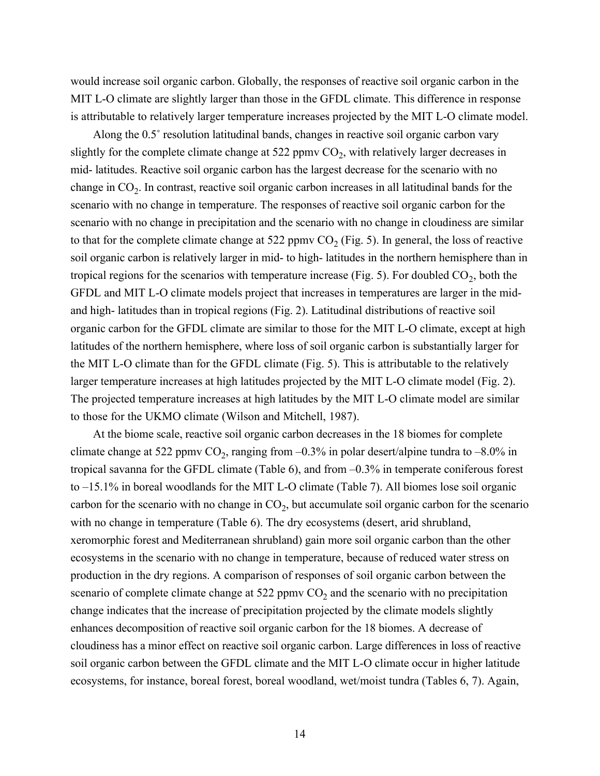would increase soil organic carbon. Globally, the responses of reactive soil organic carbon in the MIT L-O climate are slightly larger than those in the GFDL climate. This difference in response is attributable to relatively larger temperature increases projected by the MIT L-O climate model.

Along the 0.5˚ resolution latitudinal bands, changes in reactive soil organic carbon vary slightly for the complete climate change at 522 ppmv  $CO<sub>2</sub>$ , with relatively larger decreases in mid- latitudes. Reactive soil organic carbon has the largest decrease for the scenario with no change in  $CO<sub>2</sub>$ . In contrast, reactive soil organic carbon increases in all latitudinal bands for the scenario with no change in temperature. The responses of reactive soil organic carbon for the scenario with no change in precipitation and the scenario with no change in cloudiness are similar to that for the complete climate change at 522 ppmv  $CO<sub>2</sub>$  (Fig. 5). In general, the loss of reactive soil organic carbon is relatively larger in mid- to high- latitudes in the northern hemisphere than in tropical regions for the scenarios with temperature increase (Fig. 5). For doubled  $CO<sub>2</sub>$ , both the GFDL and MIT L-O climate models project that increases in temperatures are larger in the midand high- latitudes than in tropical regions (Fig. 2). Latitudinal distributions of reactive soil organic carbon for the GFDL climate are similar to those for the MIT L-O climate, except at high latitudes of the northern hemisphere, where loss of soil organic carbon is substantially larger for the MIT L-O climate than for the GFDL climate (Fig. 5). This is attributable to the relatively larger temperature increases at high latitudes projected by the MIT L-O climate model (Fig. 2). The projected temperature increases at high latitudes by the MIT L-O climate model are similar to those for the UKMO climate (Wilson and Mitchell, 1987).

At the biome scale, reactive soil organic carbon decreases in the 18 biomes for complete climate change at 522 ppmv  $CO_2$ , ranging from  $-0.3\%$  in polar desert/alpine tundra to  $-8.0\%$  in tropical savanna for the GFDL climate (Table 6), and from –0.3% in temperate coniferous forest to –15.1% in boreal woodlands for the MIT L-O climate (Table 7). All biomes lose soil organic carbon for the scenario with no change in  $CO<sub>2</sub>$ , but accumulate soil organic carbon for the scenario with no change in temperature (Table 6). The dry ecosystems (desert, arid shrubland, xeromorphic forest and Mediterranean shrubland) gain more soil organic carbon than the other ecosystems in the scenario with no change in temperature, because of reduced water stress on production in the dry regions. A comparison of responses of soil organic carbon between the scenario of complete climate change at  $522$  ppmv  $CO<sub>2</sub>$  and the scenario with no precipitation change indicates that the increase of precipitation projected by the climate models slightly enhances decomposition of reactive soil organic carbon for the 18 biomes. A decrease of cloudiness has a minor effect on reactive soil organic carbon. Large differences in loss of reactive soil organic carbon between the GFDL climate and the MIT L-O climate occur in higher latitude ecosystems, for instance, boreal forest, boreal woodland, wet/moist tundra (Tables 6, 7). Again,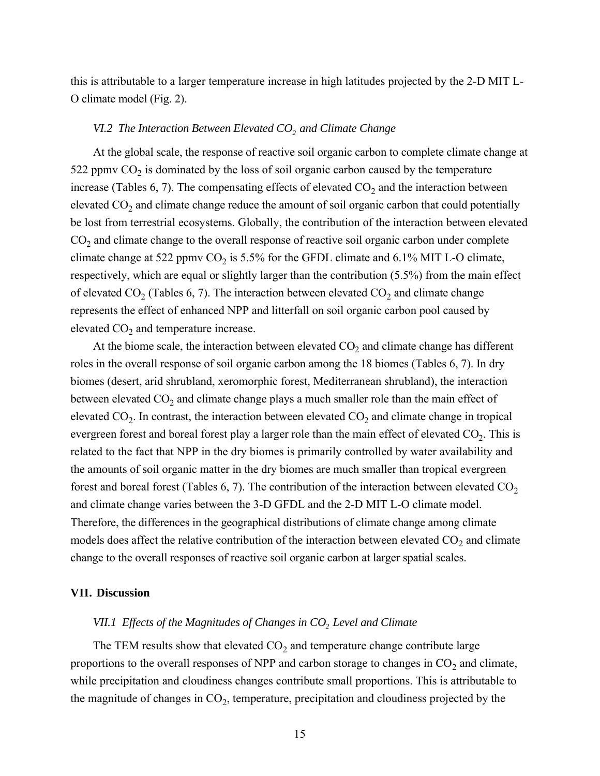this is attributable to a larger temperature increase in high latitudes projected by the 2-D MIT L-O climate model (Fig. 2).

### *VI.2 The Interaction Between Elevated CO<sub>2</sub> and Climate Change*

At the global scale, the response of reactive soil organic carbon to complete climate change at 522 ppmv  $CO<sub>2</sub>$  is dominated by the loss of soil organic carbon caused by the temperature increase (Tables 6, 7). The compensating effects of elevated  $CO<sub>2</sub>$  and the interaction between elevated  $CO<sub>2</sub>$  and climate change reduce the amount of soil organic carbon that could potentially be lost from terrestrial ecosystems. Globally, the contribution of the interaction between elevated  $CO<sub>2</sub>$  and climate change to the overall response of reactive soil organic carbon under complete climate change at 522 ppmv  $CO<sub>2</sub>$  is 5.5% for the GFDL climate and 6.1% MIT L-O climate, respectively, which are equal or slightly larger than the contribution (5.5%) from the main effect of elevated  $CO_2$  (Tables 6, 7). The interaction between elevated  $CO_2$  and climate change represents the effect of enhanced NPP and litterfall on soil organic carbon pool caused by elevated  $CO<sub>2</sub>$  and temperature increase.

At the biome scale, the interaction between elevated  $CO<sub>2</sub>$  and climate change has different roles in the overall response of soil organic carbon among the 18 biomes (Tables 6, 7). In dry biomes (desert, arid shrubland, xeromorphic forest, Mediterranean shrubland), the interaction between elevated  $CO<sub>2</sub>$  and climate change plays a much smaller role than the main effect of elevated  $CO_2$ . In contrast, the interaction between elevated  $CO_2$  and climate change in tropical evergreen forest and boreal forest play a larger role than the main effect of elevated  $CO<sub>2</sub>$ . This is related to the fact that NPP in the dry biomes is primarily controlled by water availability and the amounts of soil organic matter in the dry biomes are much smaller than tropical evergreen forest and boreal forest (Tables 6, 7). The contribution of the interaction between elevated  $CO<sub>2</sub>$ and climate change varies between the 3-D GFDL and the 2-D MIT L-O climate model. Therefore, the differences in the geographical distributions of climate change among climate models does affect the relative contribution of the interaction between elevated  $CO<sub>2</sub>$  and climate change to the overall responses of reactive soil organic carbon at larger spatial scales.

#### **VII. Discussion**

# *VII.1 Effects of the Magnitudes of Changes in CO<sub>2</sub> Level and Climate*

The TEM results show that elevated  $CO<sub>2</sub>$  and temperature change contribute large proportions to the overall responses of NPP and carbon storage to changes in  $CO<sub>2</sub>$  and climate, while precipitation and cloudiness changes contribute small proportions. This is attributable to the magnitude of changes in  $CO<sub>2</sub>$ , temperature, precipitation and cloudiness projected by the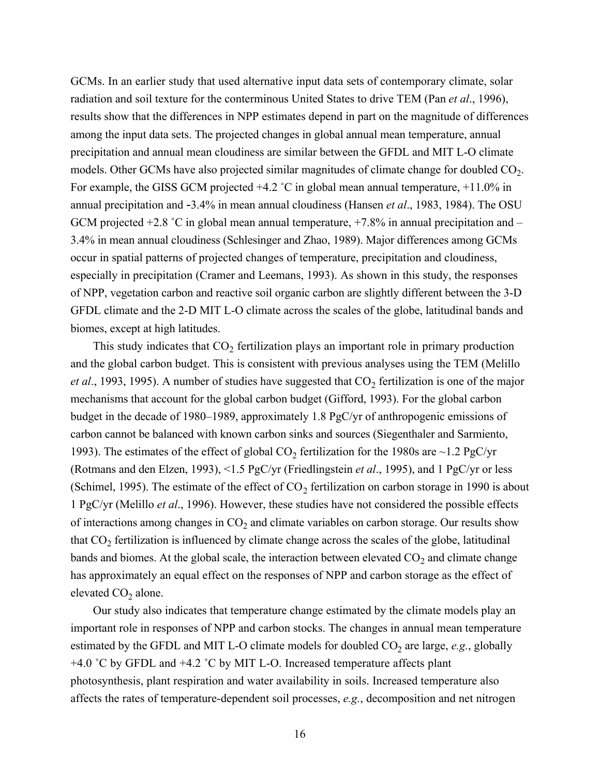GCMs. In an earlier study that used alternative input data sets of contemporary climate, solar radiation and soil texture for the conterminous United States to drive TEM (Pan *et al*., 1996), results show that the differences in NPP estimates depend in part on the magnitude of differences among the input data sets. The projected changes in global annual mean temperature, annual precipitation and annual mean cloudiness are similar between the GFDL and MIT L-O climate models. Other GCMs have also projected similar magnitudes of climate change for doubled  $CO<sub>2</sub>$ . For example, the GISS GCM projected  $+4.2$  °C in global mean annual temperature,  $+11.0\%$  in annual precipitation and -3.4% in mean annual cloudiness (Hansen *et al*., 1983, 1984). The OSU GCM projected  $+2.8$  °C in global mean annual temperature,  $+7.8\%$  in annual precipitation and – 3.4% in mean annual cloudiness (Schlesinger and Zhao, 1989). Major differences among GCMs occur in spatial patterns of projected changes of temperature, precipitation and cloudiness, especially in precipitation (Cramer and Leemans, 1993). As shown in this study, the responses of NPP, vegetation carbon and reactive soil organic carbon are slightly different between the 3-D GFDL climate and the 2-D MIT L-O climate across the scales of the globe, latitudinal bands and biomes, except at high latitudes.

This study indicates that  $CO<sub>2</sub>$  fertilization plays an important role in primary production and the global carbon budget. This is consistent with previous analyses using the TEM (Melillo *et al.*, 1993, 1995). A number of studies have suggested that  $CO<sub>2</sub>$  fertilization is one of the major mechanisms that account for the global carbon budget (Gifford, 1993). For the global carbon budget in the decade of 1980–1989, approximately 1.8 PgC/yr of anthropogenic emissions of carbon cannot be balanced with known carbon sinks and sources (Siegenthaler and Sarmiento, 1993). The estimates of the effect of global  $CO<sub>2</sub>$  fertilization for the 1980s are ~1.2 PgC/yr (Rotmans and den Elzen, 1993), <1.5 PgC/yr (Friedlingstein *et al*., 1995), and 1 PgC/yr or less (Schimel, 1995). The estimate of the effect of  $CO<sub>2</sub>$  fertilization on carbon storage in 1990 is about 1 PgC/yr (Melillo *et al*., 1996). However, these studies have not considered the possible effects of interactions among changes in  $CO<sub>2</sub>$  and climate variables on carbon storage. Our results show that  $CO<sub>2</sub>$  fertilization is influenced by climate change across the scales of the globe, latitudinal bands and biomes. At the global scale, the interaction between elevated  $CO<sub>2</sub>$  and climate change has approximately an equal effect on the responses of NPP and carbon storage as the effect of elevated  $CO<sub>2</sub>$  alone.

Our study also indicates that temperature change estimated by the climate models play an important role in responses of NPP and carbon stocks. The changes in annual mean temperature estimated by the GFDL and MIT L-O climate models for doubled  $CO<sub>2</sub>$  are large, *e.g.*, globally +4.0 ˚C by GFDL and +4.2 ˚C by MIT L-O. Increased temperature affects plant photosynthesis, plant respiration and water availability in soils. Increased temperature also affects the rates of temperature-dependent soil processes, *e.g.*, decomposition and net nitrogen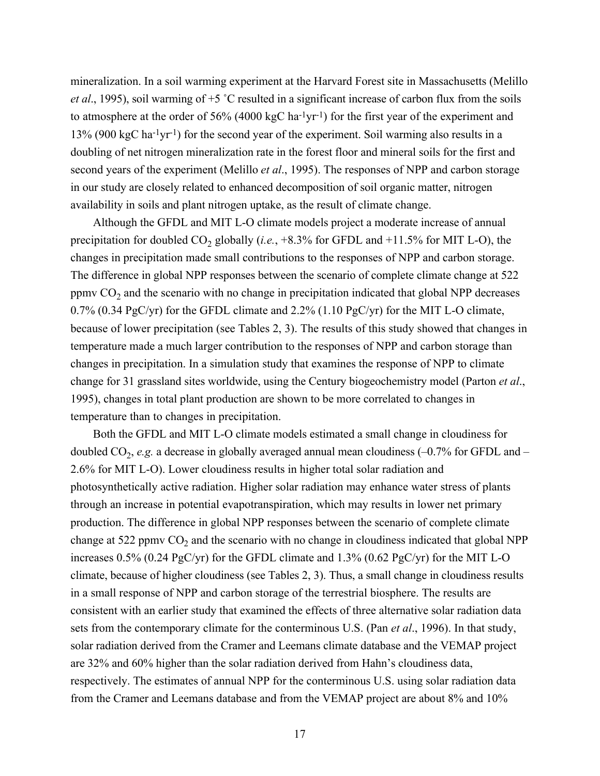mineralization. In a soil warming experiment at the Harvard Forest site in Massachusetts (Melillo *et al*., 1995), soil warming of +5 ˚C resulted in a significant increase of carbon flux from the soils to atmosphere at the order of 56% (4000 kgC ha<sup>-1</sup>yr<sup>-1</sup>) for the first year of the experiment and 13% (900 kgC ha-1yr-1) for the second year of the experiment. Soil warming also results in a doubling of net nitrogen mineralization rate in the forest floor and mineral soils for the first and second years of the experiment (Melillo *et al*., 1995). The responses of NPP and carbon storage in our study are closely related to enhanced decomposition of soil organic matter, nitrogen availability in soils and plant nitrogen uptake, as the result of climate change.

Although the GFDL and MIT L-O climate models project a moderate increase of annual precipitation for doubled  $CO_2$  globally (*i.e.*,  $+8.3\%$  for GFDL and  $+11.5\%$  for MIT L-O), the changes in precipitation made small contributions to the responses of NPP and carbon storage. The difference in global NPP responses between the scenario of complete climate change at 522 ppmv  $CO<sub>2</sub>$  and the scenario with no change in precipitation indicated that global NPP decreases 0.7% (0.34 PgC/yr) for the GFDL climate and 2.2% (1.10 PgC/yr) for the MIT L-O climate, because of lower precipitation (see Tables 2, 3). The results of this study showed that changes in temperature made a much larger contribution to the responses of NPP and carbon storage than changes in precipitation. In a simulation study that examines the response of NPP to climate change for 31 grassland sites worldwide, using the Century biogeochemistry model (Parton *et al*., 1995), changes in total plant production are shown to be more correlated to changes in temperature than to changes in precipitation.

Both the GFDL and MIT L-O climate models estimated a small change in cloudiness for doubled  $CO_2$ , *e.g.* a decrease in globally averaged annual mean cloudiness  $(-0.7\%$  for GFDL and – 2.6% for MIT L-O). Lower cloudiness results in higher total solar radiation and photosynthetically active radiation. Higher solar radiation may enhance water stress of plants through an increase in potential evapotranspiration, which may results in lower net primary production. The difference in global NPP responses between the scenario of complete climate change at 522 ppmv  $CO<sub>2</sub>$  and the scenario with no change in cloudiness indicated that global NPP increases 0.5% (0.24 PgC/yr) for the GFDL climate and 1.3% (0.62 PgC/yr) for the MIT L-O climate, because of higher cloudiness (see Tables 2, 3). Thus, a small change in cloudiness results in a small response of NPP and carbon storage of the terrestrial biosphere. The results are consistent with an earlier study that examined the effects of three alternative solar radiation data sets from the contemporary climate for the conterminous U.S. (Pan *et al*., 1996). In that study, solar radiation derived from the Cramer and Leemans climate database and the VEMAP project are 32% and 60% higher than the solar radiation derived from Hahn's cloudiness data, respectively. The estimates of annual NPP for the conterminous U.S. using solar radiation data from the Cramer and Leemans database and from the VEMAP project are about 8% and 10%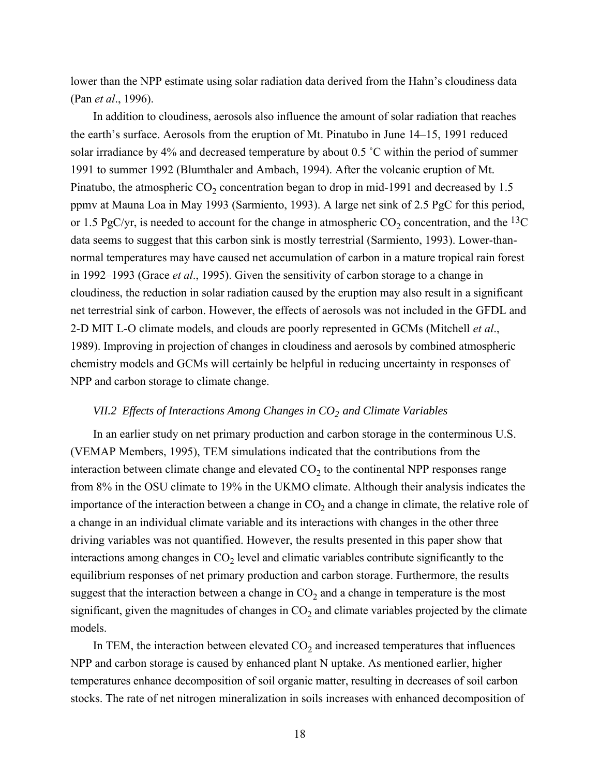lower than the NPP estimate using solar radiation data derived from the Hahn's cloudiness data (Pan *et al*., 1996).

In addition to cloudiness, aerosols also influence the amount of solar radiation that reaches the earth's surface. Aerosols from the eruption of Mt. Pinatubo in June 14–15, 1991 reduced solar irradiance by 4% and decreased temperature by about 0.5 ˚C within the period of summer 1991 to summer 1992 (Blumthaler and Ambach, 1994). After the volcanic eruption of Mt. Pinatubo, the atmospheric  $CO_2$  concentration began to drop in mid-1991 and decreased by 1.5 ppmv at Mauna Loa in May 1993 (Sarmiento, 1993). A large net sink of 2.5 PgC for this period, or 1.5 PgC/yr, is needed to account for the change in atmospheric  $CO_2$  concentration, and the <sup>13</sup>C data seems to suggest that this carbon sink is mostly terrestrial (Sarmiento, 1993). Lower-thannormal temperatures may have caused net accumulation of carbon in a mature tropical rain forest in 1992–1993 (Grace *et al*., 1995). Given the sensitivity of carbon storage to a change in cloudiness, the reduction in solar radiation caused by the eruption may also result in a significant net terrestrial sink of carbon. However, the effects of aerosols was not included in the GFDL and 2-D MIT L-O climate models, and clouds are poorly represented in GCMs (Mitchell *et al*., 1989). Improving in projection of changes in cloudiness and aerosols by combined atmospheric chemistry models and GCMs will certainly be helpful in reducing uncertainty in responses of NPP and carbon storage to climate change.

# *VII.2 Effects of Interactions Among Changes in CO<sub>2</sub> and Climate Variables*

In an earlier study on net primary production and carbon storage in the conterminous U.S. (VEMAP Members, 1995), TEM simulations indicated that the contributions from the interaction between climate change and elevated  $CO<sub>2</sub>$  to the continental NPP responses range from 8% in the OSU climate to 19% in the UKMO climate. Although their analysis indicates the importance of the interaction between a change in  $CO<sub>2</sub>$  and a change in climate, the relative role of a change in an individual climate variable and its interactions with changes in the other three driving variables was not quantified. However, the results presented in this paper show that interactions among changes in  $CO<sub>2</sub>$  level and climatic variables contribute significantly to the equilibrium responses of net primary production and carbon storage. Furthermore, the results suggest that the interaction between a change in  $CO<sub>2</sub>$  and a change in temperature is the most significant, given the magnitudes of changes in  $CO<sub>2</sub>$  and climate variables projected by the climate models.

In TEM, the interaction between elevated  $CO<sub>2</sub>$  and increased temperatures that influences NPP and carbon storage is caused by enhanced plant N uptake. As mentioned earlier, higher temperatures enhance decomposition of soil organic matter, resulting in decreases of soil carbon stocks. The rate of net nitrogen mineralization in soils increases with enhanced decomposition of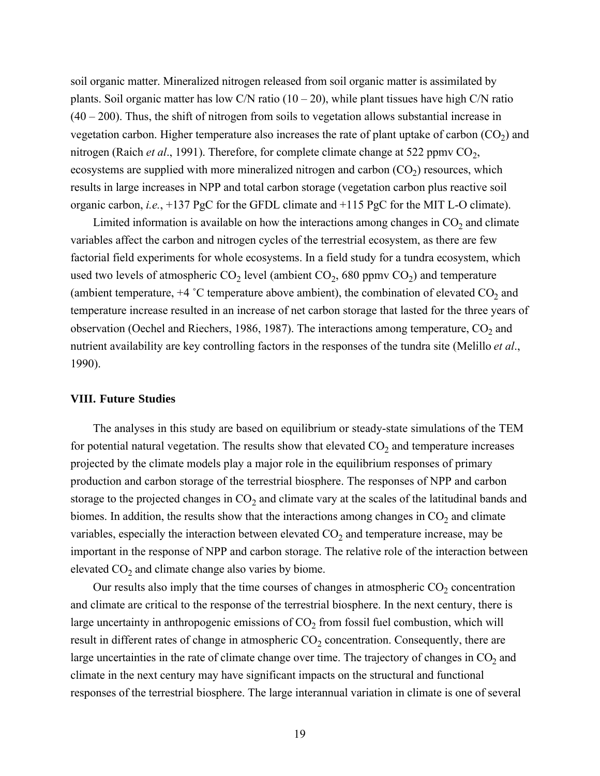soil organic matter. Mineralized nitrogen released from soil organic matter is assimilated by plants. Soil organic matter has low C/N ratio  $(10 - 20)$ , while plant tissues have high C/N ratio  $(40 - 200)$ . Thus, the shift of nitrogen from soils to vegetation allows substantial increase in vegetation carbon. Higher temperature also increases the rate of plant uptake of carbon  $(CO<sub>2</sub>)$  and nitrogen (Raich *et al.*, 1991). Therefore, for complete climate change at 522 ppmv CO<sub>2</sub>, ecosystems are supplied with more mineralized nitrogen and carbon  $(CO<sub>2</sub>)$  resources, which results in large increases in NPP and total carbon storage (vegetation carbon plus reactive soil organic carbon, *i.e.*, +137 PgC for the GFDL climate and +115 PgC for the MIT L-O climate).

Limited information is available on how the interactions among changes in  $CO<sub>2</sub>$  and climate variables affect the carbon and nitrogen cycles of the terrestrial ecosystem, as there are few factorial field experiments for whole ecosystems. In a field study for a tundra ecosystem, which used two levels of atmospheric  $CO_2$  level (ambient  $CO_2$ , 680 ppmv  $CO_2$ ) and temperature (ambient temperature,  $+4$  °C temperature above ambient), the combination of elevated  $CO<sub>2</sub>$  and temperature increase resulted in an increase of net carbon storage that lasted for the three years of observation (Oechel and Riechers, 1986, 1987). The interactions among temperature,  $CO<sub>2</sub>$  and nutrient availability are key controlling factors in the responses of the tundra site (Melillo *et al*., 1990).

### **VIII. Future Studies**

The analyses in this study are based on equilibrium or steady-state simulations of the TEM for potential natural vegetation. The results show that elevated  $CO<sub>2</sub>$  and temperature increases projected by the climate models play a major role in the equilibrium responses of primary production and carbon storage of the terrestrial biosphere. The responses of NPP and carbon storage to the projected changes in  $CO<sub>2</sub>$  and climate vary at the scales of the latitudinal bands and biomes. In addition, the results show that the interactions among changes in  $CO<sub>2</sub>$  and climate variables, especially the interaction between elevated  $CO<sub>2</sub>$  and temperature increase, may be important in the response of NPP and carbon storage. The relative role of the interaction between elevated  $CO<sub>2</sub>$  and climate change also varies by biome.

Our results also imply that the time courses of changes in atmospheric  $CO<sub>2</sub>$  concentration and climate are critical to the response of the terrestrial biosphere. In the next century, there is large uncertainty in anthropogenic emissions of  $CO<sub>2</sub>$  from fossil fuel combustion, which will result in different rates of change in atmospheric  $CO<sub>2</sub>$  concentration. Consequently, there are large uncertainties in the rate of climate change over time. The trajectory of changes in  $CO<sub>2</sub>$  and climate in the next century may have significant impacts on the structural and functional responses of the terrestrial biosphere. The large interannual variation in climate is one of several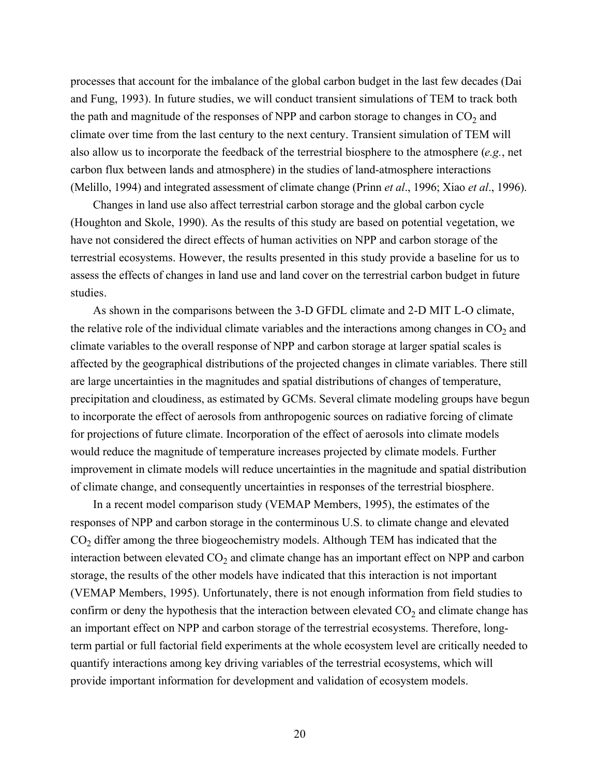processes that account for the imbalance of the global carbon budget in the last few decades (Dai and Fung, 1993). In future studies, we will conduct transient simulations of TEM to track both the path and magnitude of the responses of NPP and carbon storage to changes in  $CO<sub>2</sub>$  and climate over time from the last century to the next century. Transient simulation of TEM will also allow us to incorporate the feedback of the terrestrial biosphere to the atmosphere (*e.g.*, net carbon flux between lands and atmosphere) in the studies of land-atmosphere interactions (Melillo, 1994) and integrated assessment of climate change (Prinn *et al*., 1996; Xiao *et al*., 1996).

Changes in land use also affect terrestrial carbon storage and the global carbon cycle (Houghton and Skole, 1990). As the results of this study are based on potential vegetation, we have not considered the direct effects of human activities on NPP and carbon storage of the terrestrial ecosystems. However, the results presented in this study provide a baseline for us to assess the effects of changes in land use and land cover on the terrestrial carbon budget in future studies.

As shown in the comparisons between the 3-D GFDL climate and 2-D MIT L-O climate, the relative role of the individual climate variables and the interactions among changes in  $CO<sub>2</sub>$  and climate variables to the overall response of NPP and carbon storage at larger spatial scales is affected by the geographical distributions of the projected changes in climate variables. There still are large uncertainties in the magnitudes and spatial distributions of changes of temperature, precipitation and cloudiness, as estimated by GCMs. Several climate modeling groups have begun to incorporate the effect of aerosols from anthropogenic sources on radiative forcing of climate for projections of future climate. Incorporation of the effect of aerosols into climate models would reduce the magnitude of temperature increases projected by climate models. Further improvement in climate models will reduce uncertainties in the magnitude and spatial distribution of climate change, and consequently uncertainties in responses of the terrestrial biosphere.

In a recent model comparison study (VEMAP Members, 1995), the estimates of the responses of NPP and carbon storage in the conterminous U.S. to climate change and elevated  $CO<sub>2</sub>$  differ among the three biogeochemistry models. Although TEM has indicated that the interaction between elevated  $CO<sub>2</sub>$  and climate change has an important effect on NPP and carbon storage, the results of the other models have indicated that this interaction is not important (VEMAP Members, 1995). Unfortunately, there is not enough information from field studies to confirm or deny the hypothesis that the interaction between elevated  $CO<sub>2</sub>$  and climate change has an important effect on NPP and carbon storage of the terrestrial ecosystems. Therefore, longterm partial or full factorial field experiments at the whole ecosystem level are critically needed to quantify interactions among key driving variables of the terrestrial ecosystems, which will provide important information for development and validation of ecosystem models.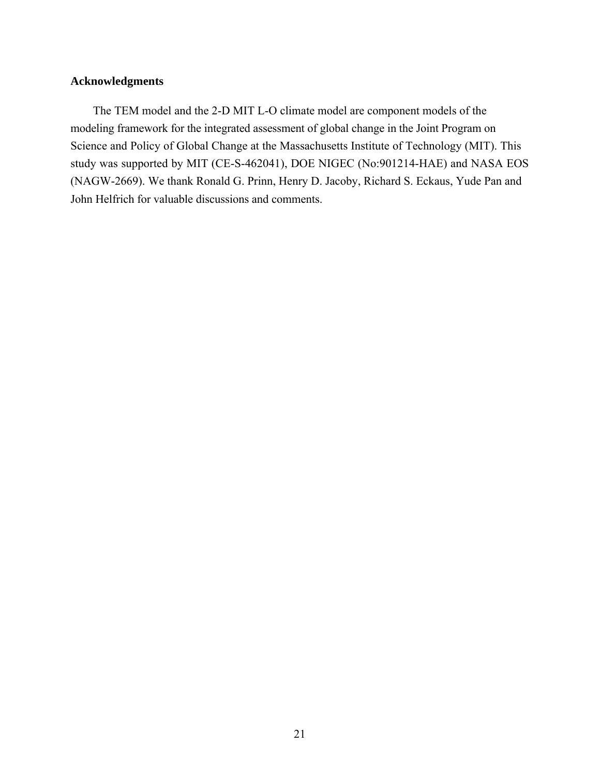## **Acknowledgments**

The TEM model and the 2-D MIT L-O climate model are component models of the modeling framework for the integrated assessment of global change in the Joint Program on Science and Policy of Global Change at the Massachusetts Institute of Technology (MIT). This study was supported by MIT (CE-S-462041), DOE NIGEC (No:901214-HAE) and NASA EOS (NAGW-2669). We thank Ronald G. Prinn, Henry D. Jacoby, Richard S. Eckaus, Yude Pan and John Helfrich for valuable discussions and comments.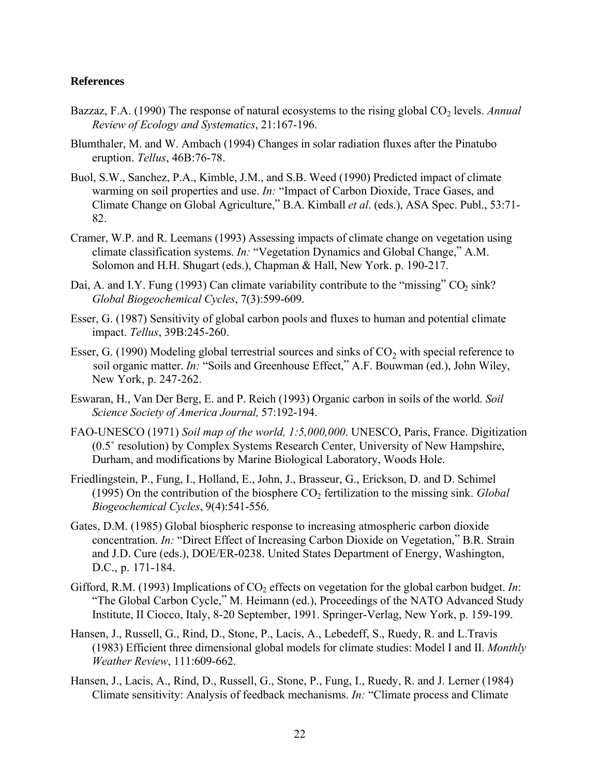## **References**

- Bazzaz, F.A. (1990) The response of natural ecosystems to the rising global CO<sub>2</sub> levels. *Annual Review of Ecology and Systematics*, 21:167-196.
- Blumthaler, M. and W. Ambach (1994) Changes in solar radiation fluxes after the Pinatubo eruption. *Tellus*, 46B:76-78.
- Buol, S.W., Sanchez, P.A., Kimble, J.M., and S.B. Weed (1990) Predicted impact of climate warming on soil properties and use. *In:* "Impact of Carbon Dioxide, Trace Gases, and Climate Change on Global Agriculture," B.A. Kimball *et al*. (eds.), ASA Spec. Publ., 53:71- 82.
- Cramer, W.P. and R. Leemans (1993) Assessing impacts of climate change on vegetation using climate classification systems. *In:* "Vegetation Dynamics and Global Change," A.M. Solomon and H.H. Shugart (eds.), Chapman & Hall, New York. p. 190-217.
- Dai, A. and I.Y. Fung (1993) Can climate variability contribute to the "missing"  $CO<sub>2</sub>$  sink? *Global Biogeochemical Cycles*, 7(3):599-609.
- Esser, G. (1987) Sensitivity of global carbon pools and fluxes to human and potential climate impact. *Tellus*, 39B:245-260.
- Esser, G. (1990) Modeling global terrestrial sources and sinks of  $CO<sub>2</sub>$  with special reference to soil organic matter. *In:* "Soils and Greenhouse Effect," A.F. Bouwman (ed.), John Wiley, New York, p. 247-262.
- Eswaran, H., Van Der Berg, E. and P. Reich (1993) Organic carbon in soils of the world. *Soil Science Society of America Journal,* 57:192-194.
- FAO-UNESCO (1971) *Soil map of the world, 1:5,000,000*. UNESCO, Paris, France. Digitization (0.5˚ resolution) by Complex Systems Research Center, University of New Hampshire, Durham, and modifications by Marine Biological Laboratory, Woods Hole.
- Friedlingstein, P., Fung, I., Holland, E., John, J., Brasseur, G., Erickson, D. and D. Schimel (1995) On the contribution of the biosphere CO<sub>2</sub> fertilization to the missing sink. *Global Biogeochemical Cycles*, 9(4):541-556.
- Gates, D.M. (1985) Global biospheric response to increasing atmospheric carbon dioxide concentration. *In:* "Direct Effect of Increasing Carbon Dioxide on Vegetation," B.R. Strain and J.D. Cure (eds.), DOE/ER-0238. United States Department of Energy, Washington, D.C., p. 171-184.
- Gifford, R.M. (1993) Implications of CO<sub>2</sub> effects on vegetation for the global carbon budget. *In*: "The Global Carbon Cycle," M. Heimann (ed.), Proceedings of the NATO Advanced Study Institute, II Ciocco, Italy, 8-20 September, 1991. Springer-Verlag, New York, p. 159-199.
- Hansen, J., Russell, G., Rind, D., Stone, P., Lacis, A., Lebedeff, S., Ruedy, R. and L.Travis (1983) Efficient three dimensional global models for climate studies: Model I and II. *Monthly Weather Review*, 111:609-662.
- Hansen, J., Lacis, A., Rind, D., Russell, G., Stone, P., Fung, I., Ruedy, R. and J. Lerner (1984) Climate sensitivity: Analysis of feedback mechanisms. *In:* "Climate process and Climate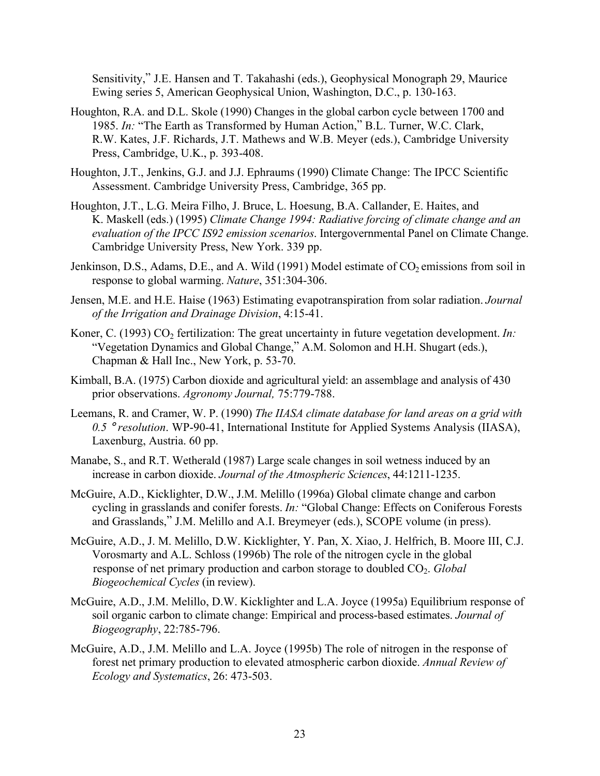Sensitivity," J.E. Hansen and T. Takahashi (eds.), Geophysical Monograph 29, Maurice Ewing series 5, American Geophysical Union, Washington, D.C., p. 130-163.

- Houghton, R.A. and D.L. Skole (1990) Changes in the global carbon cycle between 1700 and 1985. *In:* "The Earth as Transformed by Human Action," B.L. Turner, W.C. Clark, R.W. Kates, J.F. Richards, J.T. Mathews and W.B. Meyer (eds.), Cambridge University Press, Cambridge, U.K., p. 393-408.
- Houghton, J.T., Jenkins, G.J. and J.J. Ephraums (1990) Climate Change: The IPCC Scientific Assessment. Cambridge University Press, Cambridge, 365 pp.
- Houghton, J.T., L.G. Meira Filho, J. Bruce, L. Hoesung, B.A. Callander, E. Haites, and K. Maskell (eds.) (1995) *Climate Change 1994: Radiative forcing of climate change and an evaluation of the IPCC IS92 emission scenarios*. Intergovernmental Panel on Climate Change. Cambridge University Press, New York. 339 pp.
- Jenkinson, D.S., Adams, D.E., and A. Wild (1991) Model estimate of  $CO<sub>2</sub>$  emissions from soil in response to global warming. *Nature*, 351:304-306.
- Jensen, M.E. and H.E. Haise (1963) Estimating evapotranspiration from solar radiation. *Journal of the Irrigation and Drainage Division*, 4:15-41.
- Koner, C. (1993) CO<sub>2</sub> fertilization: The great uncertainty in future vegetation development. *In:* "Vegetation Dynamics and Global Change," A.M. Solomon and H.H. Shugart (eds.), Chapman & Hall Inc., New York, p. 53-70.
- Kimball, B.A. (1975) Carbon dioxide and agricultural yield: an assemblage and analysis of 430 prior observations. *Agronomy Journal,* 75:779-788.
- Leemans, R. and Cramer, W. P. (1990) *The IIASA climate database for land areas on a grid with 0.5* ° *resolution*. WP-90-41, International Institute for Applied Systems Analysis (IIASA), Laxenburg, Austria. 60 pp.
- Manabe, S., and R.T. Wetherald (1987) Large scale changes in soil wetness induced by an increase in carbon dioxide. *Journal of the Atmospheric Sciences*, 44:1211-1235.
- McGuire, A.D., Kicklighter, D.W., J.M. Melillo (1996a) Global climate change and carbon cycling in grasslands and conifer forests. *In:* "Global Change: Effects on Coniferous Forests and Grasslands," J.M. Melillo and A.I. Breymeyer (eds.), SCOPE volume (in press).
- McGuire, A.D., J. M. Melillo, D.W. Kicklighter, Y. Pan, X. Xiao, J. Helfrich, B. Moore III, C.J. Vorosmarty and A.L. Schloss (1996b) The role of the nitrogen cycle in the global response of net primary production and carbon storage to doubled CO<sub>2</sub>. *Global Biogeochemical Cycles* (in review).
- McGuire, A.D., J.M. Melillo, D.W. Kicklighter and L.A. Joyce (1995a) Equilibrium response of soil organic carbon to climate change: Empirical and process-based estimates. *Journal of Biogeography*, 22:785-796.
- McGuire, A.D., J.M. Melillo and L.A. Joyce (1995b) The role of nitrogen in the response of forest net primary production to elevated atmospheric carbon dioxide. *Annual Review of Ecology and Systematics*, 26: 473-503.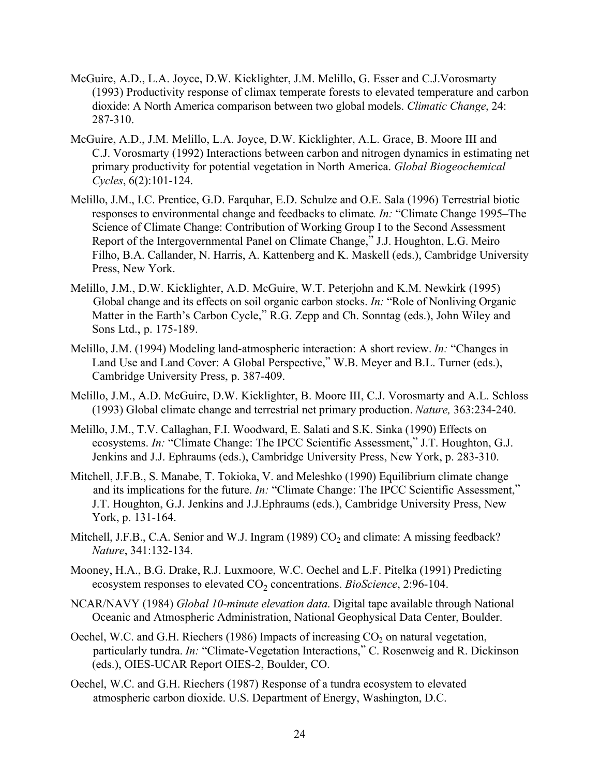- McGuire, A.D., L.A. Joyce, D.W. Kicklighter, J.M. Melillo, G. Esser and C.J.Vorosmarty (1993) Productivity response of climax temperate forests to elevated temperature and carbon dioxide: A North America comparison between two global models. *Climatic Change*, 24: 287-310.
- McGuire, A.D., J.M. Melillo, L.A. Joyce, D.W. Kicklighter, A.L. Grace, B. Moore III and C.J. Vorosmarty (1992) Interactions between carbon and nitrogen dynamics in estimating net primary productivity for potential vegetation in North America. *Global Biogeochemical Cycles*, 6(2):101-124.
- Melillo, J.M., I.C. Prentice, G.D. Farquhar, E.D. Schulze and O.E. Sala (1996) Terrestrial biotic responses to environmental change and feedbacks to climate*. In:* "Climate Change 1995–The Science of Climate Change: Contribution of Working Group I to the Second Assessment Report of the Intergovernmental Panel on Climate Change," J.J. Houghton, L.G. Meiro Filho, B.A. Callander, N. Harris, A. Kattenberg and K. Maskell (eds.), Cambridge University Press, New York.
- Melillo, J.M., D.W. Kicklighter, A.D. McGuire, W.T. Peterjohn and K.M. Newkirk (1995) Global change and its effects on soil organic carbon stocks. *In:* "Role of Nonliving Organic Matter in the Earth's Carbon Cycle," R.G. Zepp and Ch. Sonntag (eds.), John Wiley and Sons Ltd., p. 175-189.
- Melillo, J.M. (1994) Modeling land-atmospheric interaction: A short review. *In:* "Changes in Land Use and Land Cover: A Global Perspective," W.B. Meyer and B.L. Turner (eds.), Cambridge University Press, p. 387-409.
- Melillo, J.M., A.D. McGuire, D.W. Kicklighter, B. Moore III, C.J. Vorosmarty and A.L. Schloss (1993) Global climate change and terrestrial net primary production. *Nature,* 363:234-240.
- Melillo, J.M., T.V. Callaghan, F.I. Woodward, E. Salati and S.K. Sinka (1990) Effects on ecosystems. *In:* "Climate Change: The IPCC Scientific Assessment," J.T. Houghton, G.J. Jenkins and J.J. Ephraums (eds.), Cambridge University Press, New York, p. 283-310.
- Mitchell, J.F.B., S. Manabe, T. Tokioka, V. and Meleshko (1990) Equilibrium climate change and its implications for the future. *In:* "Climate Change: The IPCC Scientific Assessment," J.T. Houghton, G.J. Jenkins and J.J.Ephraums (eds.), Cambridge University Press, New York, p. 131-164.
- Mitchell, J.F.B., C.A. Senior and W.J. Ingram (1989)  $CO<sub>2</sub>$  and climate: A missing feedback? *Nature*, 341:132-134.
- Mooney, H.A., B.G. Drake, R.J. Luxmoore, W.C. Oechel and L.F. Pitelka (1991) Predicting ecosystem responses to elevated CO<sub>2</sub> concentrations. *BioScience*, 2:96-104.
- NCAR/NAVY (1984) *Global 10-minute elevation data*. Digital tape available through National Oceanic and Atmospheric Administration, National Geophysical Data Center, Boulder.
- Oechel, W.C. and G.H. Riechers (1986) Impacts of increasing  $CO<sub>2</sub>$  on natural vegetation, particularly tundra. *In:* "Climate-Vegetation Interactions," C. Rosenweig and R. Dickinson (eds.), OIES-UCAR Report OIES-2, Boulder, CO.
- Oechel, W.C. and G.H. Riechers (1987) Response of a tundra ecosystem to elevated atmospheric carbon dioxide. U.S. Department of Energy, Washington, D.C.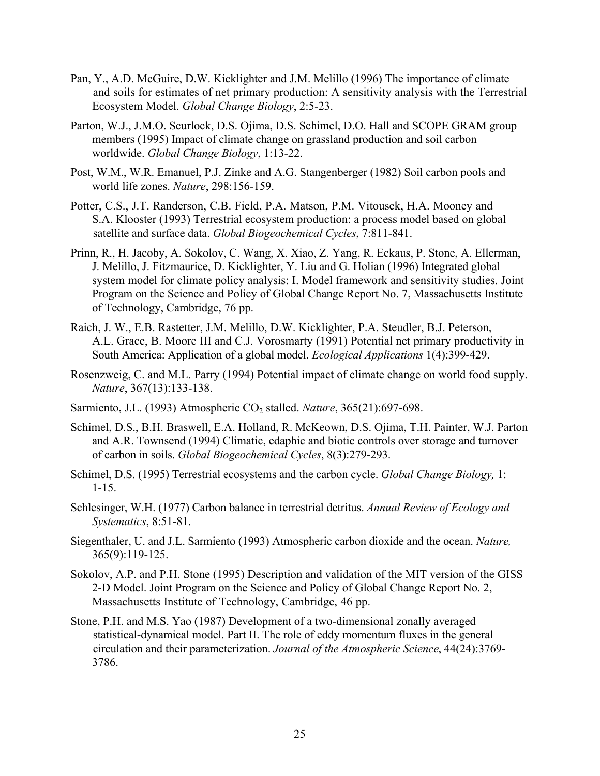- Pan, Y., A.D. McGuire, D.W. Kicklighter and J.M. Melillo (1996) The importance of climate and soils for estimates of net primary production: A sensitivity analysis with the Terrestrial Ecosystem Model. *Global Change Biology*, 2:5-23.
- Parton, W.J., J.M.O. Scurlock, D.S. Ojima, D.S. Schimel, D.O. Hall and SCOPE GRAM group members (1995) Impact of climate change on grassland production and soil carbon worldwide. *Global Change Biology*, 1:13-22.
- Post, W.M., W.R. Emanuel, P.J. Zinke and A.G. Stangenberger (1982) Soil carbon pools and world life zones. *Nature*, 298:156-159.
- Potter, C.S., J.T. Randerson, C.B. Field, P.A. Matson, P.M. Vitousek, H.A. Mooney and S.A. Klooster (1993) Terrestrial ecosystem production: a process model based on global satellite and surface data. *Global Biogeochemical Cycles*, 7:811-841.
- Prinn, R., H. Jacoby, A. Sokolov, C. Wang, X. Xiao, Z. Yang, R. Eckaus, P. Stone, A. Ellerman, J. Melillo, J. Fitzmaurice, D. Kicklighter, Y. Liu and G. Holian (1996) Integrated global system model for climate policy analysis: I. Model framework and sensitivity studies. Joint Program on the Science and Policy of Global Change Report No. 7, Massachusetts Institute of Technology, Cambridge, 76 pp.
- Raich, J. W., E.B. Rastetter, J.M. Melillo, D.W. Kicklighter, P.A. Steudler, B.J. Peterson, A.L. Grace, B. Moore III and C.J. Vorosmarty (1991) Potential net primary productivity in South America: Application of a global model. *Ecological Applications* 1(4):399-429.
- Rosenzweig, C. and M.L. Parry (1994) Potential impact of climate change on world food supply. *Nature*, 367(13):133-138.
- Sarmiento, J.L. (1993) Atmospheric CO<sub>2</sub> stalled. *Nature*, 365(21):697-698.
- Schimel, D.S., B.H. Braswell, E.A. Holland, R. McKeown, D.S. Ojima, T.H. Painter, W.J. Parton and A.R. Townsend (1994) Climatic, edaphic and biotic controls over storage and turnover of carbon in soils. *Global Biogeochemical Cycles*, 8(3):279-293.
- Schimel, D.S. (1995) Terrestrial ecosystems and the carbon cycle. *Global Change Biology,* 1: 1-15.
- Schlesinger, W.H. (1977) Carbon balance in terrestrial detritus. *Annual Review of Ecology and Systematics*, 8:51-81.
- Siegenthaler, U. and J.L. Sarmiento (1993) Atmospheric carbon dioxide and the ocean. *Nature,* 365(9):119-125.
- Sokolov, A.P. and P.H. Stone (1995) Description and validation of the MIT version of the GISS 2-D Model. Joint Program on the Science and Policy of Global Change Report No. 2, Massachusetts Institute of Technology, Cambridge, 46 pp.
- Stone, P.H. and M.S. Yao (1987) Development of a two-dimensional zonally averaged statistical-dynamical model. Part II. The role of eddy momentum fluxes in the general circulation and their parameterization. *Journal of the Atmospheric Science*, 44(24):3769- 3786.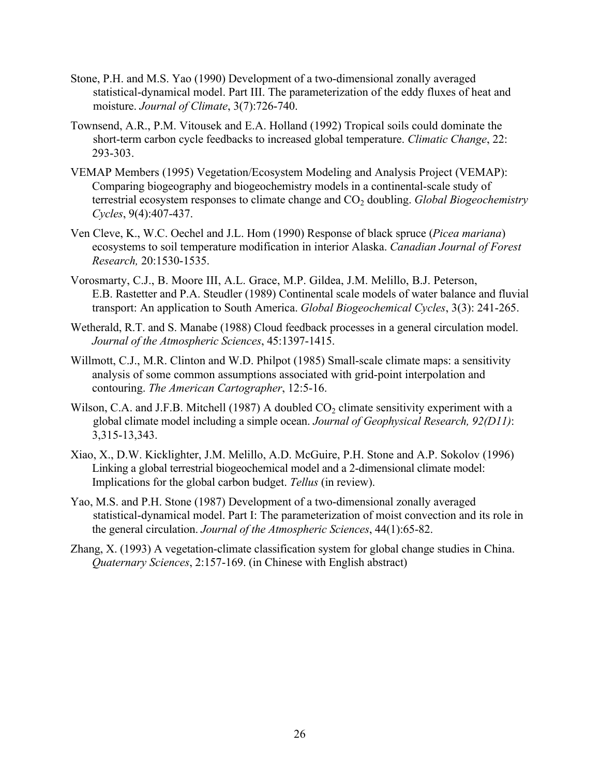- Stone, P.H. and M.S. Yao (1990) Development of a two-dimensional zonally averaged statistical-dynamical model. Part III. The parameterization of the eddy fluxes of heat and moisture. *Journal of Climate*, 3(7):726-740.
- Townsend, A.R., P.M. Vitousek and E.A. Holland (1992) Tropical soils could dominate the short-term carbon cycle feedbacks to increased global temperature. *Climatic Change*, 22: 293-303.
- VEMAP Members (1995) Vegetation/Ecosystem Modeling and Analysis Project (VEMAP): Comparing biogeography and biogeochemistry models in a continental-scale study of terrestrial ecosystem responses to climate change and  $CO<sub>2</sub>$  doubling. *Global Biogeochemistry Cycles*, 9(4):407-437.
- Ven Cleve, K., W.C. Oechel and J.L. Hom (1990) Response of black spruce (*Picea mariana*) ecosystems to soil temperature modification in interior Alaska. *Canadian Journal of Forest Research,* 20:1530-1535.
- Vorosmarty, C.J., B. Moore III, A.L. Grace, M.P. Gildea, J.M. Melillo, B.J. Peterson, E.B. Rastetter and P.A. Steudler (1989) Continental scale models of water balance and fluvial transport: An application to South America. *Global Biogeochemical Cycles*, 3(3): 241-265.
- Wetherald, R.T. and S. Manabe (1988) Cloud feedback processes in a general circulation model. *Journal of the Atmospheric Sciences*, 45:1397-1415.
- Willmott, C.J., M.R. Clinton and W.D. Philpot (1985) Small-scale climate maps: a sensitivity analysis of some common assumptions associated with grid-point interpolation and contouring. *The American Cartographer*, 12:5-16.
- Wilson, C.A. and J.F.B. Mitchell (1987) A doubled  $CO<sub>2</sub>$  climate sensitivity experiment with a global climate model including a simple ocean. *Journal of Geophysical Research, 92(D11)*: 3,315-13,343.
- Xiao, X., D.W. Kicklighter, J.M. Melillo, A.D. McGuire, P.H. Stone and A.P. Sokolov (1996) Linking a global terrestrial biogeochemical model and a 2-dimensional climate model: Implications for the global carbon budget. *Tellus* (in review).
- Yao, M.S. and P.H. Stone (1987) Development of a two-dimensional zonally averaged statistical-dynamical model. Part I: The parameterization of moist convection and its role in the general circulation. *Journal of the Atmospheric Sciences*, 44(1):65-82.
- Zhang, X. (1993) A vegetation-climate classification system for global change studies in China. *Quaternary Sciences*, 2:157-169. (in Chinese with English abstract)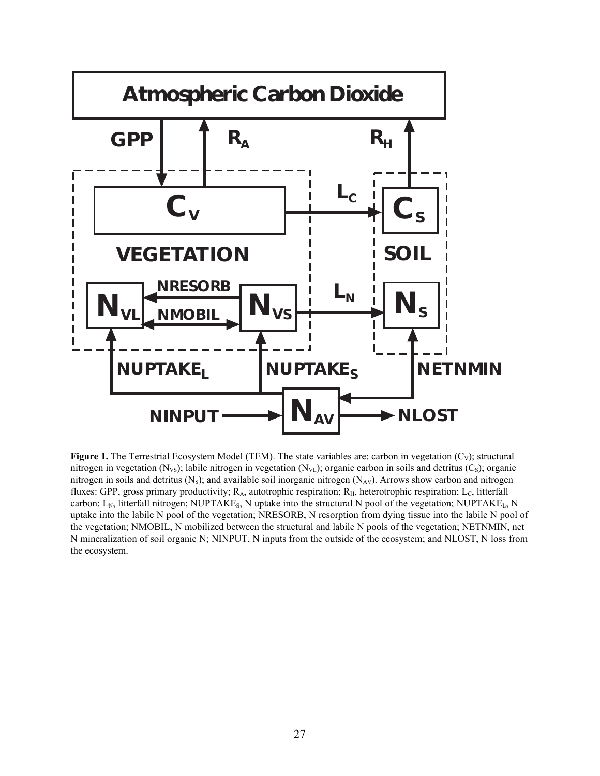

**Figure 1.** The Terrestrial Ecosystem Model (TEM). The state variables are: carbon in vegetation (C<sub>V</sub>); structural nitrogen in vegetation (N<sub>VS</sub>); labile nitrogen in vegetation (N<sub>VL</sub>); organic carbon in soils and detritus (C<sub>S</sub>); organic nitrogen in soils and detritus  $(N_s)$ ; and available soil inorganic nitrogen  $(N_{AV})$ . Arrows show carbon and nitrogen fluxes: GPP, gross primary productivity; R<sub>A</sub>, autotrophic respiration; R<sub>H</sub>, heterotrophic respiration; L<sub>C</sub>, litterfall carbon;  $L_N$ , litterfall nitrogen; NUPTAKE<sub>s</sub>, N uptake into the structural N pool of the vegetation; NUPTAKE<sub>L</sub>, N uptake into the labile N pool of the vegetation; NRESORB, N resorption from dying tissue into the labile N pool of the vegetation; NMOBIL, N mobilized between the structural and labile N pools of the vegetation; NETNMIN, net N mineralization of soil organic N; NINPUT, N inputs from the outside of the ecosystem; and NLOST, N loss from the ecosystem.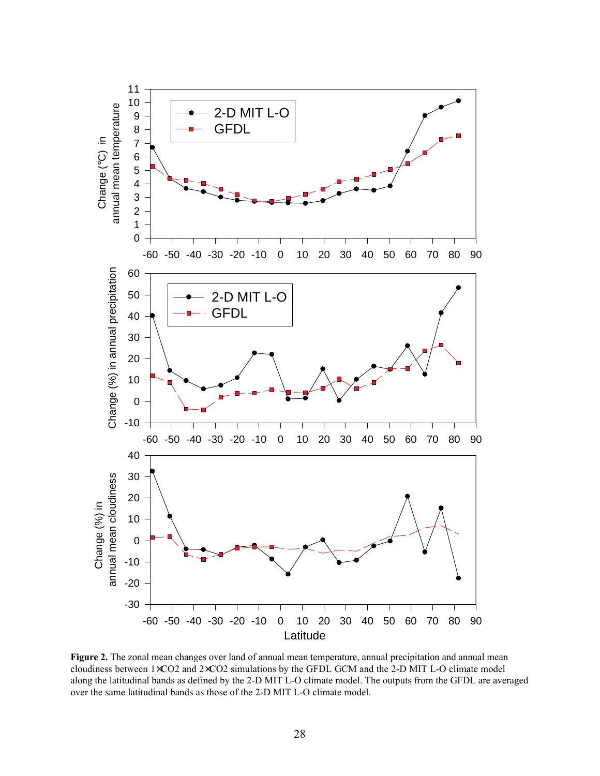

**Figure 2.** The zonal mean changes over land of annual mean temperature, annual precipitation and annual mean cloudiness between 1×CO2 and 2×CO2 simulations by the GFDL GCM and the 2-D MIT L-O climate model along the latitudinal bands as defined by the 2-D MIT L-O climate model. The outputs from the GFDL are averaged over the same latitudinal bands as those of the 2-D MIT L-O climate model.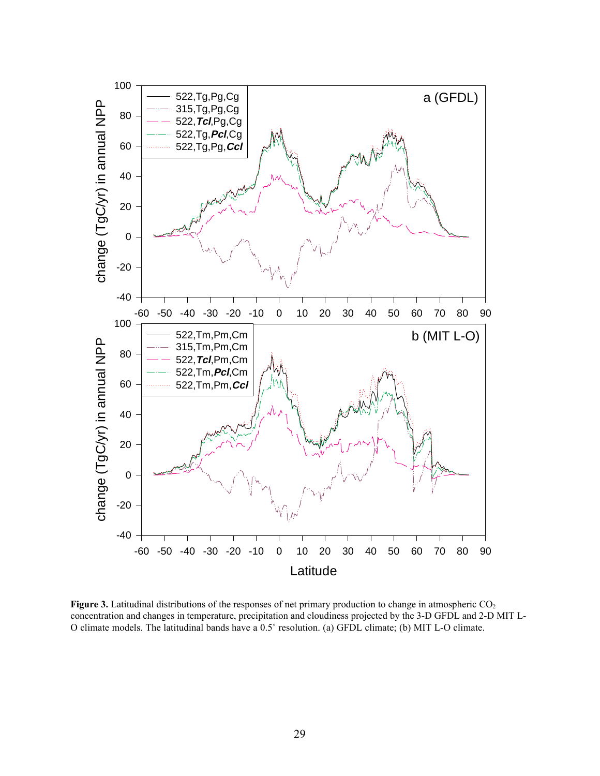

**Figure 3.** Latitudinal distributions of the responses of net primary production to change in atmospheric  $CO<sub>2</sub>$ concentration and changes in temperature, precipitation and cloudiness projected by the 3-D GFDL and 2-D MIT L-O climate models. The latitudinal bands have a 0.5˚ resolution. (a) GFDL climate; (b) MIT L-O climate.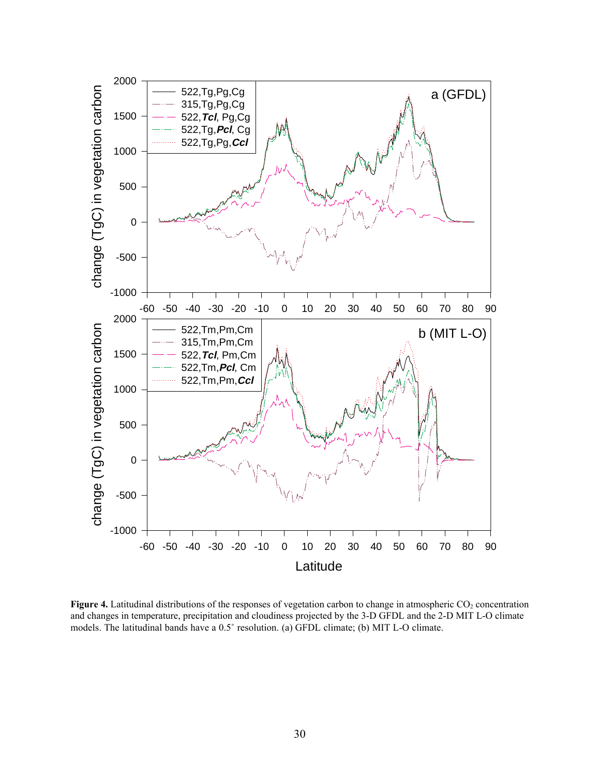

**Figure 4.** Latitudinal distributions of the responses of vegetation carbon to change in atmospheric CO<sub>2</sub> concentration and changes in temperature, precipitation and cloudiness projected by the 3-D GFDL and the 2-D MIT L-O climate models. The latitudinal bands have a 0.5˚ resolution. (a) GFDL climate; (b) MIT L-O climate.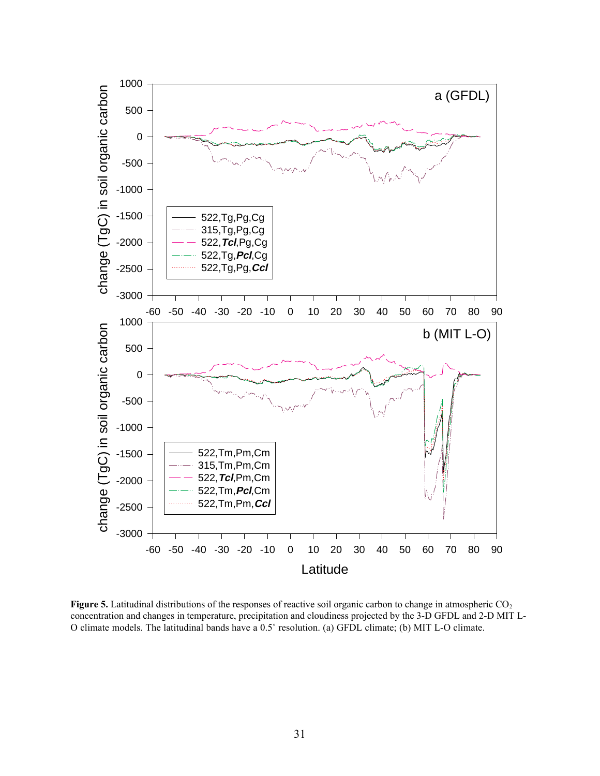

**Figure 5.** Latitudinal distributions of the responses of reactive soil organic carbon to change in atmospheric CO<sub>2</sub> concentration and changes in temperature, precipitation and cloudiness projected by the 3-D GFDL and 2-D MIT L-O climate models. The latitudinal bands have a 0.5˚ resolution. (a) GFDL climate; (b) MIT L-O climate.